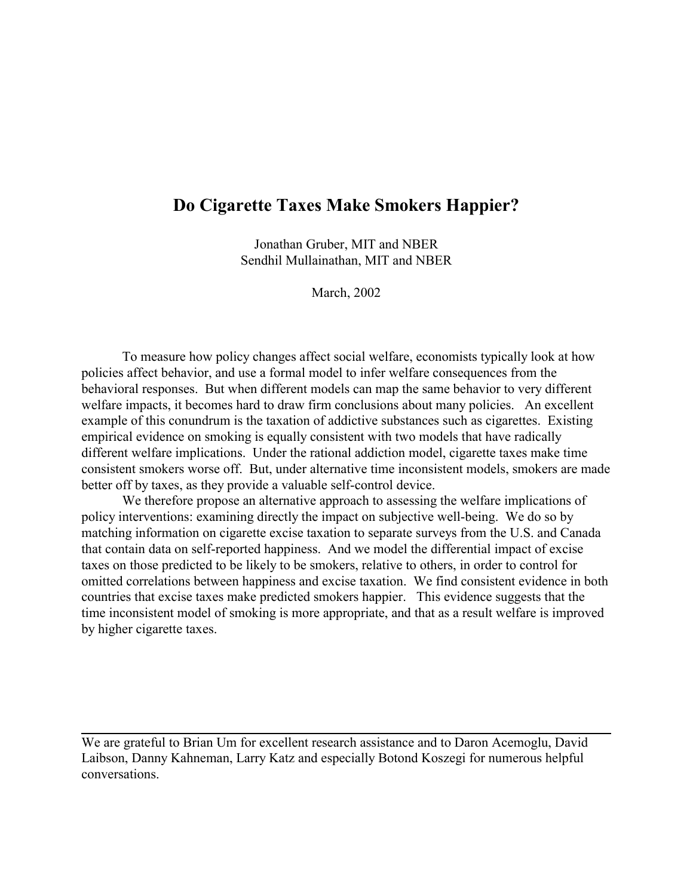# **Do Cigarette Taxes Make Smokers Happier?**

 Jonathan Gruber, MIT and NBER Sendhil Mullainathan, MIT and NBER

March, 2002

To measure how policy changes affect social welfare, economists typically look at how policies affect behavior, and use a formal model to infer welfare consequences from the behavioral responses. But when different models can map the same behavior to very different welfare impacts, it becomes hard to draw firm conclusions about many policies. An excellent example of this conundrum is the taxation of addictive substances such as cigarettes. Existing empirical evidence on smoking is equally consistent with two models that have radically different welfare implications. Under the rational addiction model, cigarette taxes make time consistent smokers worse off. But, under alternative time inconsistent models, smokers are made better off by taxes, as they provide a valuable self-control device.

 We therefore propose an alternative approach to assessing the welfare implications of policy interventions: examining directly the impact on subjective well-being. We do so by matching information on cigarette excise taxation to separate surveys from the U.S. and Canada that contain data on self-reported happiness. And we model the differential impact of excise taxes on those predicted to be likely to be smokers, relative to others, in order to control for omitted correlations between happiness and excise taxation. We find consistent evidence in both countries that excise taxes make predicted smokers happier. This evidence suggests that the time inconsistent model of smoking is more appropriate, and that as a result welfare is improved by higher cigarette taxes.

We are grateful to Brian Um for excellent research assistance and to Daron Acemoglu, David Laibson, Danny Kahneman, Larry Katz and especially Botond Koszegi for numerous helpful conversations.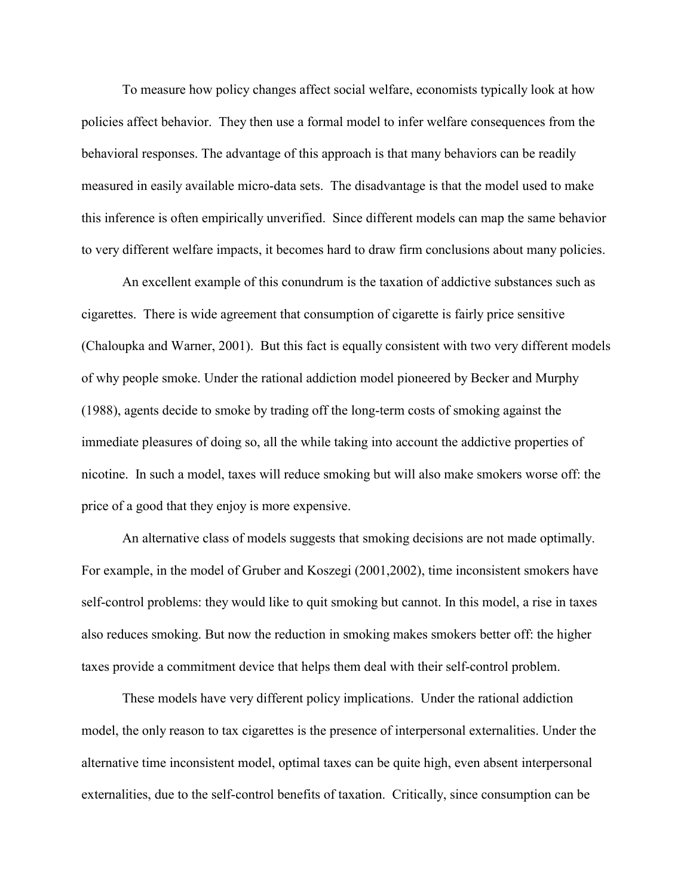To measure how policy changes affect social welfare, economists typically look at how policies affect behavior. They then use a formal model to infer welfare consequences from the behavioral responses. The advantage of this approach is that many behaviors can be readily measured in easily available micro-data sets. The disadvantage is that the model used to make this inference is often empirically unverified. Since different models can map the same behavior to very different welfare impacts, it becomes hard to draw firm conclusions about many policies.

An excellent example of this conundrum is the taxation of addictive substances such as cigarettes. There is wide agreement that consumption of cigarette is fairly price sensitive (Chaloupka and Warner, 2001). But this fact is equally consistent with two very different models of why people smoke. Under the rational addiction model pioneered by Becker and Murphy (1988), agents decide to smoke by trading off the long-term costs of smoking against the immediate pleasures of doing so, all the while taking into account the addictive properties of nicotine. In such a model, taxes will reduce smoking but will also make smokers worse off: the price of a good that they enjoy is more expensive.

An alternative class of models suggests that smoking decisions are not made optimally. For example, in the model of Gruber and Koszegi (2001,2002), time inconsistent smokers have self-control problems: they would like to quit smoking but cannot. In this model, a rise in taxes also reduces smoking. But now the reduction in smoking makes smokers better off: the higher taxes provide a commitment device that helps them deal with their self-control problem.

These models have very different policy implications. Under the rational addiction model, the only reason to tax cigarettes is the presence of interpersonal externalities. Under the alternative time inconsistent model, optimal taxes can be quite high, even absent interpersonal externalities, due to the self-control benefits of taxation. Critically, since consumption can be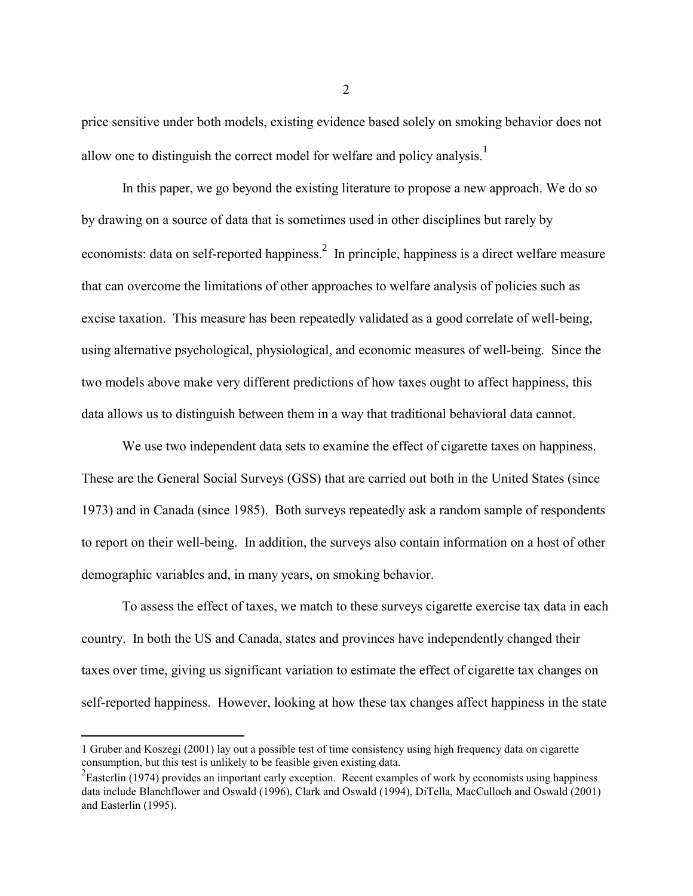price sensitive under both models, existing evidence based solely on smoking behavior does not allow one to distinguish the correct model for welfare and policy analysis.<sup>1</sup>

In this paper, we go beyond the existing literature to propose a new approach. We do so by drawing on a source of data that is sometimes used in other disciplines but rarely by economists: data on self-reported happiness. $<sup>2</sup>$  In principle, happiness is a direct welfare measure</sup> that can overcome the limitations of other approaches to welfare analysis of policies such as excise taxation. This measure has been repeatedly validated as a good correlate of well-being, using alternative psychological, physiological, and economic measures of well-being. Since the two models above make very different predictions of how taxes ought to affect happiness, this data allows us to distinguish between them in a way that traditional behavioral data cannot.

We use two independent data sets to examine the effect of cigarette taxes on happiness. These are the General Social Surveys (GSS) that are carried out both in the United States (since 1973) and in Canada (since 1985). Both surveys repeatedly ask a random sample of respondents to report on their well-being. In addition, the surveys also contain information on a host of other demographic variables and, in many years, on smoking behavior.

To assess the effect of taxes, we match to these surveys cigarette exercise tax data in each country. In both the US and Canada, states and provinces have independently changed their taxes over time, giving us significant variation to estimate the effect of cigarette tax changes on self-reported happiness. However, looking at how these tax changes affect happiness in the state

1

<sup>1</sup> Gruber and Koszegi (2001) lay out a possible test of time consistency using high frequency data on cigarette consumption, but this test is unlikely to be feasible given existing data.

<sup>&</sup>lt;sup>2</sup>Easterlin (1974) provides an important early exception. Recent examples of work by economists using happiness data include Blanchflower and Oswald (1996), Clark and Oswald (1994), DiTella, MacCulloch and Oswald (2001) and Easterlin (1995).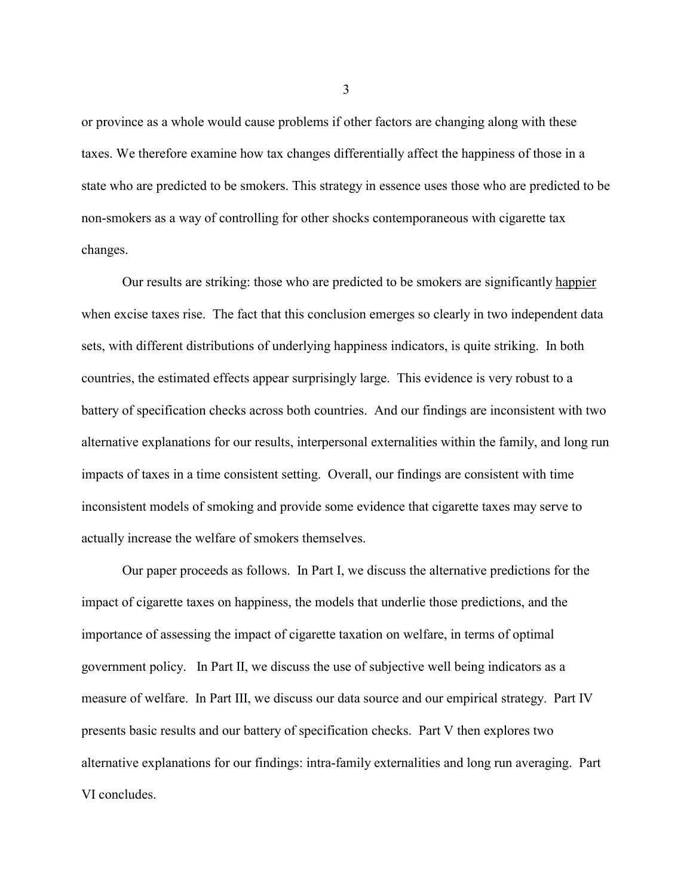or province as a whole would cause problems if other factors are changing along with these taxes. We therefore examine how tax changes differentially affect the happiness of those in a state who are predicted to be smokers. This strategy in essence uses those who are predicted to be non-smokers as a way of controlling for other shocks contemporaneous with cigarette tax changes.

Our results are striking: those who are predicted to be smokers are significantly happier when excise taxes rise. The fact that this conclusion emerges so clearly in two independent data sets, with different distributions of underlying happiness indicators, is quite striking. In both countries, the estimated effects appear surprisingly large. This evidence is very robust to a battery of specification checks across both countries. And our findings are inconsistent with two alternative explanations for our results, interpersonal externalities within the family, and long run impacts of taxes in a time consistent setting. Overall, our findings are consistent with time inconsistent models of smoking and provide some evidence that cigarette taxes may serve to actually increase the welfare of smokers themselves.

Our paper proceeds as follows. In Part I, we discuss the alternative predictions for the impact of cigarette taxes on happiness, the models that underlie those predictions, and the importance of assessing the impact of cigarette taxation on welfare, in terms of optimal government policy. In Part II, we discuss the use of subjective well being indicators as a measure of welfare. In Part III, we discuss our data source and our empirical strategy. Part IV presents basic results and our battery of specification checks. Part V then explores two alternative explanations for our findings: intra-family externalities and long run averaging. Part VI concludes.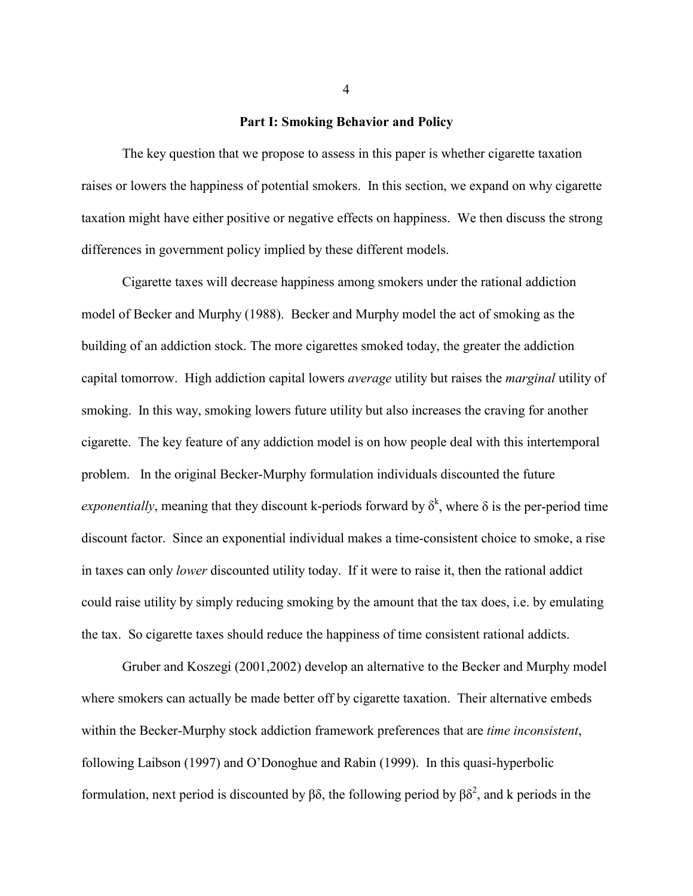#### **Part I: Smoking Behavior and Policy**

The key question that we propose to assess in this paper is whether cigarette taxation raises or lowers the happiness of potential smokers. In this section, we expand on why cigarette taxation might have either positive or negative effects on happiness. We then discuss the strong differences in government policy implied by these different models.

Cigarette taxes will decrease happiness among smokers under the rational addiction model of Becker and Murphy (1988). Becker and Murphy model the act of smoking as the building of an addiction stock. The more cigarettes smoked today, the greater the addiction capital tomorrow. High addiction capital lowers *average* utility but raises the *marginal* utility of smoking. In this way, smoking lowers future utility but also increases the craving for another cigarette. The key feature of any addiction model is on how people deal with this intertemporal problem. In the original Becker-Murphy formulation individuals discounted the future *exponentially*, meaning that they discount k-periods forward by  $\delta^k$ , where  $\delta$  is the per-period time discount factor. Since an exponential individual makes a time-consistent choice to smoke, a rise in taxes can only *lower* discounted utility today. If it were to raise it, then the rational addict could raise utility by simply reducing smoking by the amount that the tax does, i.e. by emulating the tax. So cigarette taxes should reduce the happiness of time consistent rational addicts.

Gruber and Koszegi (2001,2002) develop an alternative to the Becker and Murphy model where smokers can actually be made better off by cigarette taxation. Their alternative embeds within the Becker-Murphy stock addiction framework preferences that are *time inconsistent*, following Laibson (1997) and O'Donoghue and Rabin (1999). In this quasi-hyperbolic formulation, next period is discounted by βδ, the following period by  $\beta\delta^2$ , and k periods in the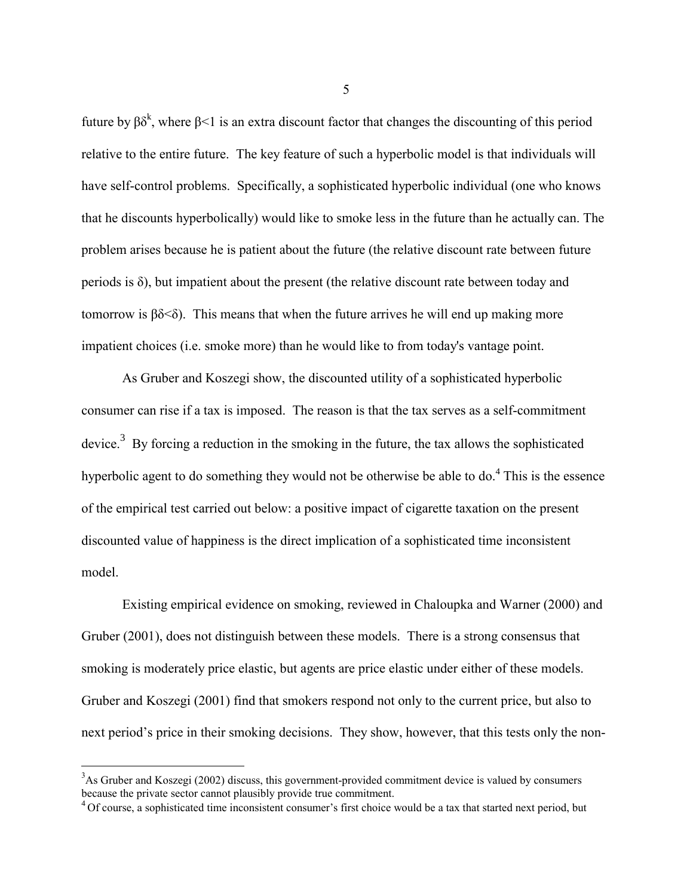future by  $\beta\delta^k$ , where  $\beta$ <1 is an extra discount factor that changes the discounting of this period relative to the entire future. The key feature of such a hyperbolic model is that individuals will have self-control problems. Specifically, a sophisticated hyperbolic individual (one who knows that he discounts hyperbolically) would like to smoke less in the future than he actually can. The problem arises because he is patient about the future (the relative discount rate between future periods is δ), but impatient about the present (the relative discount rate between today and tomorrow is βδ<δ). This means that when the future arrives he will end up making more impatient choices (i.e. smoke more) than he would like to from today's vantage point.

As Gruber and Koszegi show, the discounted utility of a sophisticated hyperbolic consumer can rise if a tax is imposed. The reason is that the tax serves as a self-commitment device.<sup>3</sup> By forcing a reduction in the smoking in the future, the tax allows the sophisticated hyperbolic agent to do something they would not be otherwise be able to do. $4$  This is the essence of the empirical test carried out below: a positive impact of cigarette taxation on the present discounted value of happiness is the direct implication of a sophisticated time inconsistent model.

Existing empirical evidence on smoking, reviewed in Chaloupka and Warner (2000) and Gruber (2001), does not distinguish between these models. There is a strong consensus that smoking is moderately price elastic, but agents are price elastic under either of these models. Gruber and Koszegi (2001) find that smokers respond not only to the current price, but also to next period's price in their smoking decisions. They show, however, that this tests only the non-

 $\overline{a}$ 

 $3$ As Gruber and Koszegi (2002) discuss, this government-provided commitment device is valued by consumers because the private sector cannot plausibly provide true commitment.

 $4^4$  Of course, a sophisticated time inconsistent consumer's first choice would be a tax that started next period, but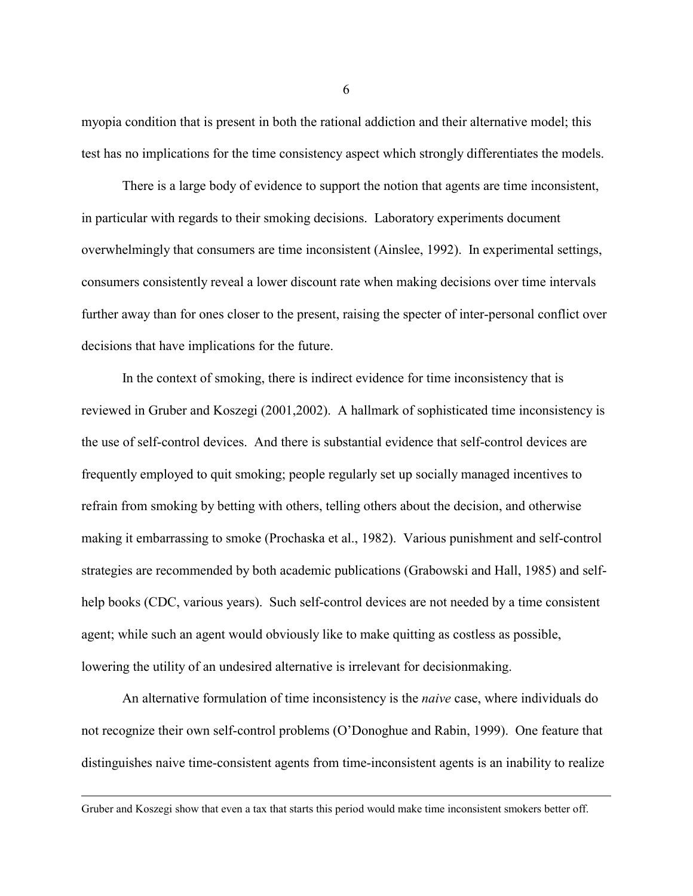myopia condition that is present in both the rational addiction and their alternative model; this test has no implications for the time consistency aspect which strongly differentiates the models.

There is a large body of evidence to support the notion that agents are time inconsistent, in particular with regards to their smoking decisions. Laboratory experiments document overwhelmingly that consumers are time inconsistent (Ainslee, 1992). In experimental settings, consumers consistently reveal a lower discount rate when making decisions over time intervals further away than for ones closer to the present, raising the specter of inter-personal conflict over decisions that have implications for the future.

In the context of smoking, there is indirect evidence for time inconsistency that is reviewed in Gruber and Koszegi (2001,2002). A hallmark of sophisticated time inconsistency is the use of self-control devices. And there is substantial evidence that self-control devices are frequently employed to quit smoking; people regularly set up socially managed incentives to refrain from smoking by betting with others, telling others about the decision, and otherwise making it embarrassing to smoke (Prochaska et al., 1982). Various punishment and self-control strategies are recommended by both academic publications (Grabowski and Hall, 1985) and selfhelp books (CDC, various years). Such self-control devices are not needed by a time consistent agent; while such an agent would obviously like to make quitting as costless as possible, lowering the utility of an undesired alternative is irrelevant for decisionmaking.

An alternative formulation of time inconsistency is the *naive* case, where individuals do not recognize their own self-control problems (O'Donoghue and Rabin, 1999). One feature that distinguishes naive time-consistent agents from time-inconsistent agents is an inability to realize

Gruber and Koszegi show that even a tax that starts this period would make time inconsistent smokers better off.

1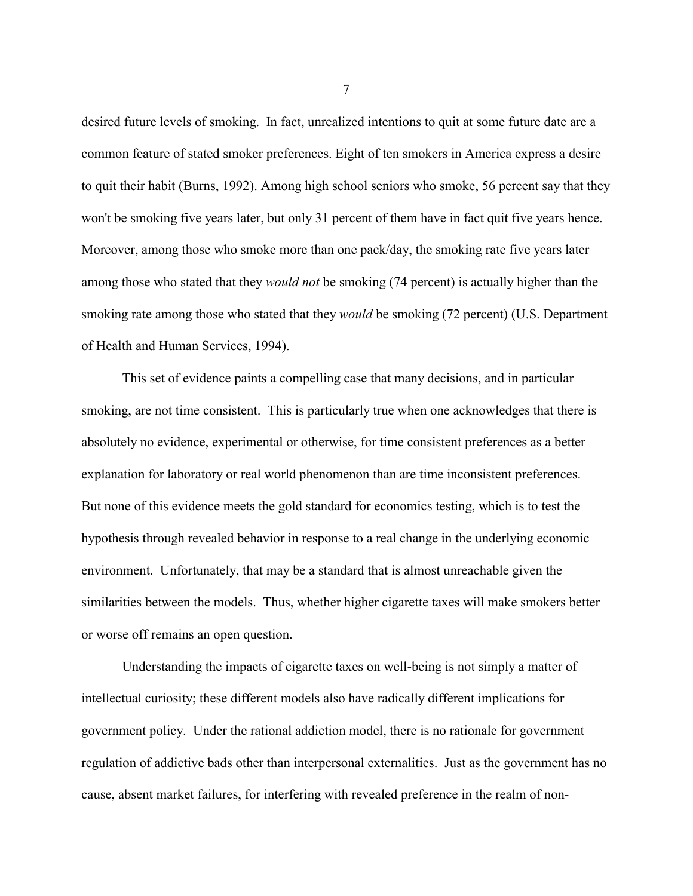desired future levels of smoking. In fact, unrealized intentions to quit at some future date are a common feature of stated smoker preferences. Eight of ten smokers in America express a desire to quit their habit (Burns, 1992). Among high school seniors who smoke, 56 percent say that they won't be smoking five years later, but only 31 percent of them have in fact quit five years hence. Moreover, among those who smoke more than one pack/day, the smoking rate five years later among those who stated that they *would not* be smoking (74 percent) is actually higher than the smoking rate among those who stated that they *would* be smoking (72 percent) (U.S. Department of Health and Human Services, 1994).

This set of evidence paints a compelling case that many decisions, and in particular smoking, are not time consistent. This is particularly true when one acknowledges that there is absolutely no evidence, experimental or otherwise, for time consistent preferences as a better explanation for laboratory or real world phenomenon than are time inconsistent preferences. But none of this evidence meets the gold standard for economics testing, which is to test the hypothesis through revealed behavior in response to a real change in the underlying economic environment. Unfortunately, that may be a standard that is almost unreachable given the similarities between the models. Thus, whether higher cigarette taxes will make smokers better or worse off remains an open question.

 Understanding the impacts of cigarette taxes on well-being is not simply a matter of intellectual curiosity; these different models also have radically different implications for government policy. Under the rational addiction model, there is no rationale for government regulation of addictive bads other than interpersonal externalities. Just as the government has no cause, absent market failures, for interfering with revealed preference in the realm of non-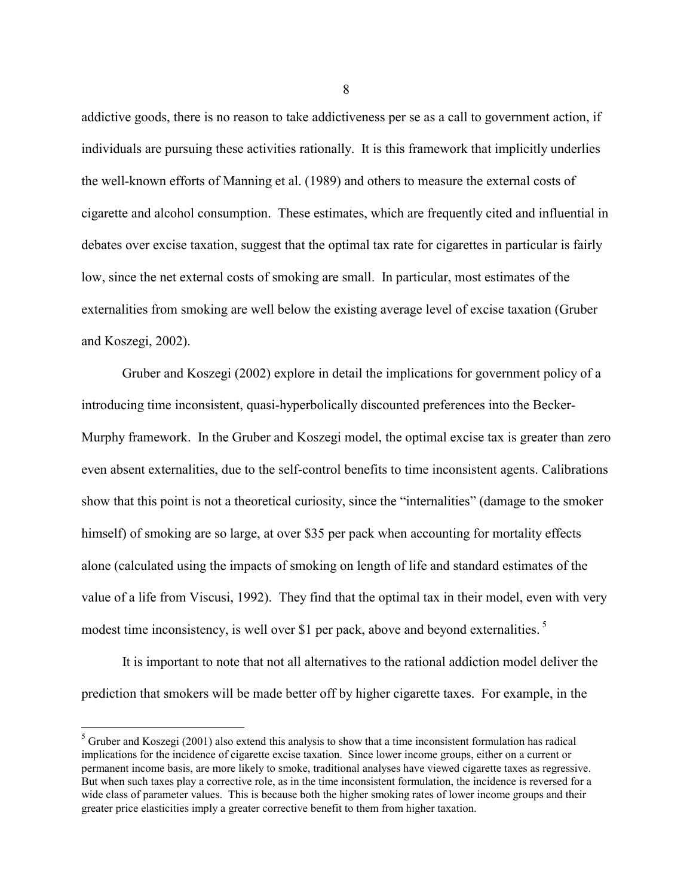addictive goods, there is no reason to take addictiveness per se as a call to government action, if individuals are pursuing these activities rationally. It is this framework that implicitly underlies the well-known efforts of Manning et al. (1989) and others to measure the external costs of cigarette and alcohol consumption. These estimates, which are frequently cited and influential in debates over excise taxation, suggest that the optimal tax rate for cigarettes in particular is fairly low, since the net external costs of smoking are small. In particular, most estimates of the externalities from smoking are well below the existing average level of excise taxation (Gruber and Koszegi, 2002).

Gruber and Koszegi (2002) explore in detail the implications for government policy of a introducing time inconsistent, quasi-hyperbolically discounted preferences into the Becker-Murphy framework. In the Gruber and Koszegi model, the optimal excise tax is greater than zero even absent externalities, due to the self-control benefits to time inconsistent agents. Calibrations show that this point is not a theoretical curiosity, since the "internalities" (damage to the smoker himself) of smoking are so large, at over \$35 per pack when accounting for mortality effects alone (calculated using the impacts of smoking on length of life and standard estimates of the value of a life from Viscusi, 1992). They find that the optimal tax in their model, even with very modest time inconsistency, is well over \$1 per pack, above and beyond externalities.<sup>5</sup>

It is important to note that not all alternatives to the rational addiction model deliver the prediction that smokers will be made better off by higher cigarette taxes. For example, in the

 $\overline{a}$ 

 $<sup>5</sup>$  Gruber and Koszegi (2001) also extend this analysis to show that a time inconsistent formulation has radical</sup> implications for the incidence of cigarette excise taxation. Since lower income groups, either on a current or permanent income basis, are more likely to smoke, traditional analyses have viewed cigarette taxes as regressive. But when such taxes play a corrective role, as in the time inconsistent formulation, the incidence is reversed for a wide class of parameter values. This is because both the higher smoking rates of lower income groups and their greater price elasticities imply a greater corrective benefit to them from higher taxation.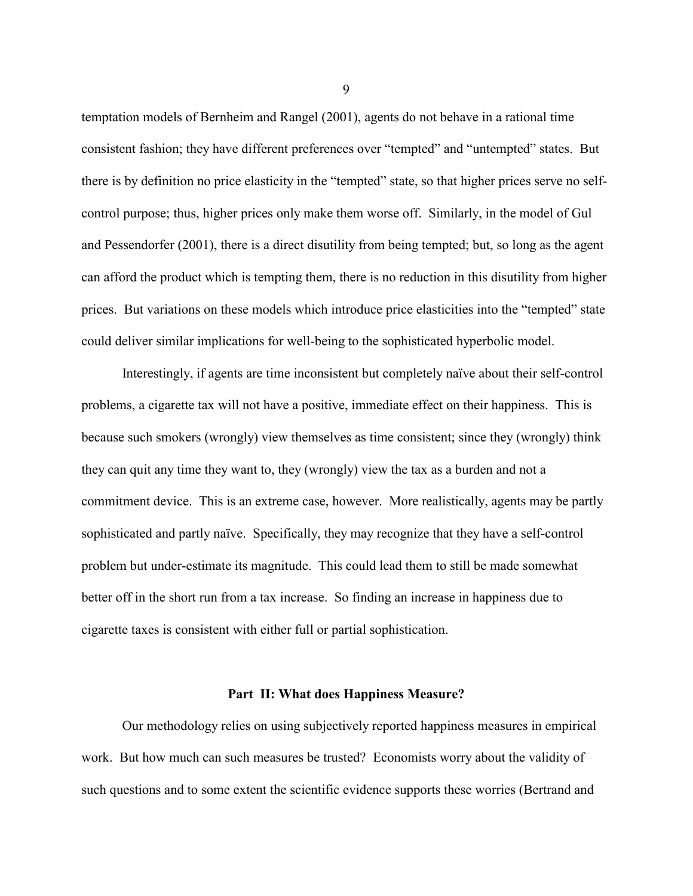temptation models of Bernheim and Rangel (2001), agents do not behave in a rational time consistent fashion; they have different preferences over "tempted" and "untempted" states. But there is by definition no price elasticity in the "tempted" state, so that higher prices serve no selfcontrol purpose; thus, higher prices only make them worse off. Similarly, in the model of Gul and Pessendorfer (2001), there is a direct disutility from being tempted; but, so long as the agent can afford the product which is tempting them, there is no reduction in this disutility from higher prices. But variations on these models which introduce price elasticities into the "tempted" state could deliver similar implications for well-being to the sophisticated hyperbolic model.

Interestingly, if agents are time inconsistent but completely naïve about their self-control problems, a cigarette tax will not have a positive, immediate effect on their happiness. This is because such smokers (wrongly) view themselves as time consistent; since they (wrongly) think they can quit any time they want to, they (wrongly) view the tax as a burden and not a commitment device. This is an extreme case, however. More realistically, agents may be partly sophisticated and partly naïve. Specifically, they may recognize that they have a self-control problem but under-estimate its magnitude. This could lead them to still be made somewhat better off in the short run from a tax increase. So finding an increase in happiness due to cigarette taxes is consistent with either full or partial sophistication.

#### **Part II: What does Happiness Measure?**

Our methodology relies on using subjectively reported happiness measures in empirical work. But how much can such measures be trusted? Economists worry about the validity of such questions and to some extent the scientific evidence supports these worries (Bertrand and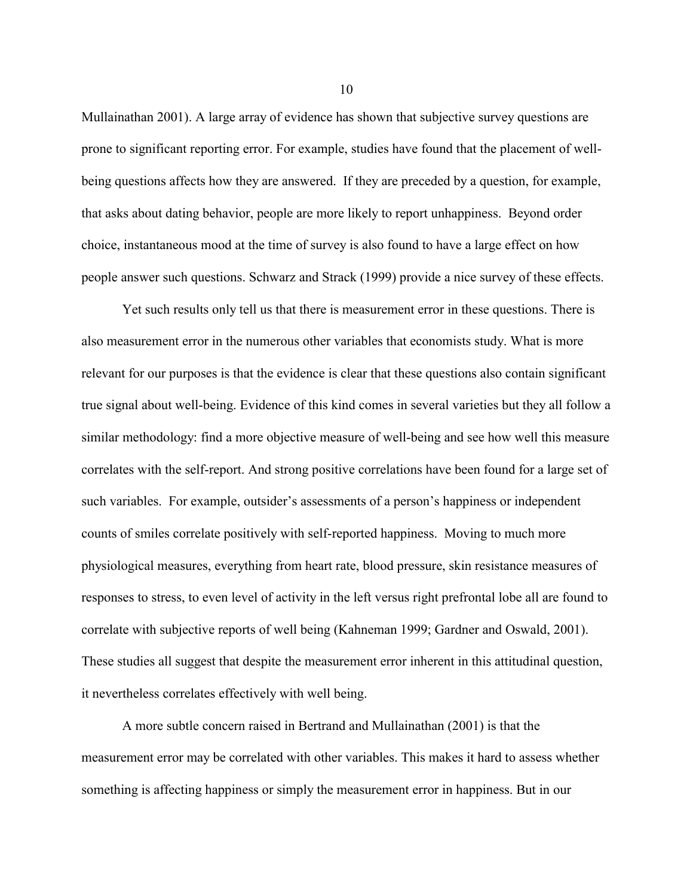Mullainathan 2001). A large array of evidence has shown that subjective survey questions are prone to significant reporting error. For example, studies have found that the placement of wellbeing questions affects how they are answered. If they are preceded by a question, for example, that asks about dating behavior, people are more likely to report unhappiness. Beyond order choice, instantaneous mood at the time of survey is also found to have a large effect on how people answer such questions. Schwarz and Strack (1999) provide a nice survey of these effects.

Yet such results only tell us that there is measurement error in these questions. There is also measurement error in the numerous other variables that economists study. What is more relevant for our purposes is that the evidence is clear that these questions also contain significant true signal about well-being. Evidence of this kind comes in several varieties but they all follow a similar methodology: find a more objective measure of well-being and see how well this measure correlates with the self-report. And strong positive correlations have been found for a large set of such variables. For example, outsider's assessments of a person's happiness or independent counts of smiles correlate positively with self-reported happiness. Moving to much more physiological measures, everything from heart rate, blood pressure, skin resistance measures of responses to stress, to even level of activity in the left versus right prefrontal lobe all are found to correlate with subjective reports of well being (Kahneman 1999; Gardner and Oswald, 2001). These studies all suggest that despite the measurement error inherent in this attitudinal question, it nevertheless correlates effectively with well being.

A more subtle concern raised in Bertrand and Mullainathan (2001) is that the measurement error may be correlated with other variables. This makes it hard to assess whether something is affecting happiness or simply the measurement error in happiness. But in our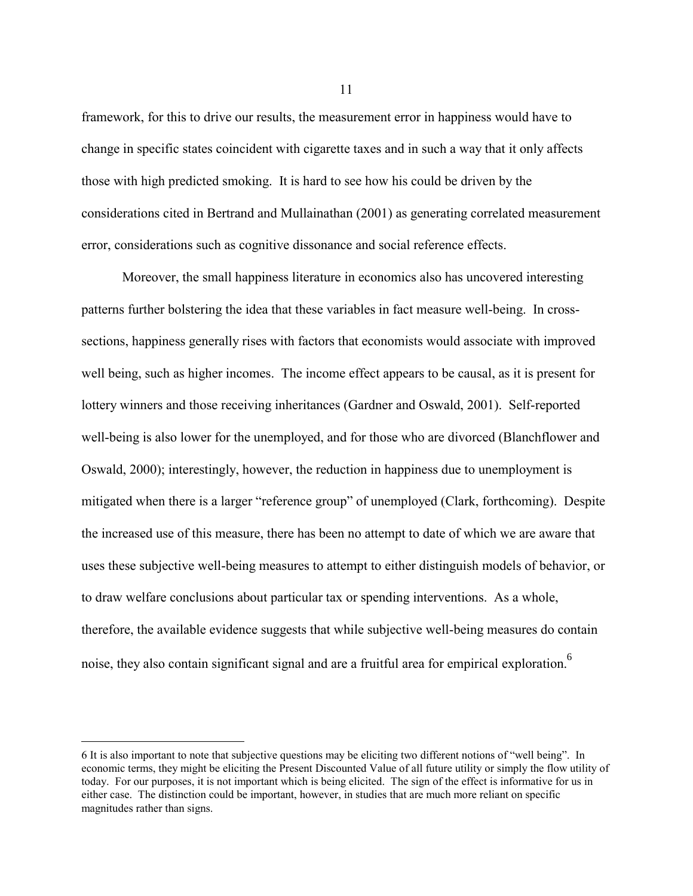framework, for this to drive our results, the measurement error in happiness would have to change in specific states coincident with cigarette taxes and in such a way that it only affects those with high predicted smoking. It is hard to see how his could be driven by the considerations cited in Bertrand and Mullainathan (2001) as generating correlated measurement error, considerations such as cognitive dissonance and social reference effects.

Moreover, the small happiness literature in economics also has uncovered interesting patterns further bolstering the idea that these variables in fact measure well-being. In crosssections, happiness generally rises with factors that economists would associate with improved well being, such as higher incomes. The income effect appears to be causal, as it is present for lottery winners and those receiving inheritances (Gardner and Oswald, 2001). Self-reported well-being is also lower for the unemployed, and for those who are divorced (Blanchflower and Oswald, 2000); interestingly, however, the reduction in happiness due to unemployment is mitigated when there is a larger "reference group" of unemployed (Clark, forthcoming). Despite the increased use of this measure, there has been no attempt to date of which we are aware that uses these subjective well-being measures to attempt to either distinguish models of behavior, or to draw welfare conclusions about particular tax or spending interventions. As a whole, therefore, the available evidence suggests that while subjective well-being measures do contain noise, they also contain significant signal and are a fruitful area for empirical exploration.<sup>6</sup>

1

<sup>6</sup> It is also important to note that subjective questions may be eliciting two different notions of "well being". In economic terms, they might be eliciting the Present Discounted Value of all future utility or simply the flow utility of today. For our purposes, it is not important which is being elicited. The sign of the effect is informative for us in either case. The distinction could be important, however, in studies that are much more reliant on specific magnitudes rather than signs.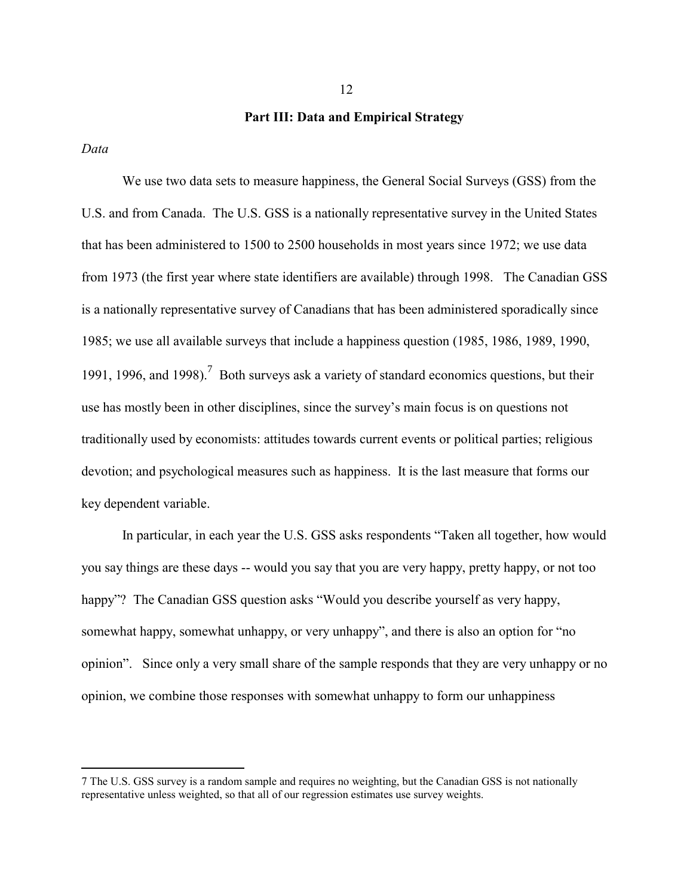## **Part III: Data and Empirical Strategy**

*Data* 

 $\overline{a}$ 

We use two data sets to measure happiness, the General Social Surveys (GSS) from the U.S. and from Canada. The U.S. GSS is a nationally representative survey in the United States that has been administered to 1500 to 2500 households in most years since 1972; we use data from 1973 (the first year where state identifiers are available) through 1998. The Canadian GSS is a nationally representative survey of Canadians that has been administered sporadically since 1985; we use all available surveys that include a happiness question (1985, 1986, 1989, 1990, 1991, 1996, and 1998).<sup>7</sup> Both surveys ask a variety of standard economics questions, but their use has mostly been in other disciplines, since the survey's main focus is on questions not traditionally used by economists: attitudes towards current events or political parties; religious devotion; and psychological measures such as happiness. It is the last measure that forms our key dependent variable.

In particular, in each year the U.S. GSS asks respondents "Taken all together, how would you say things are these days -- would you say that you are very happy, pretty happy, or not too happy"? The Canadian GSS question asks "Would you describe yourself as very happy, somewhat happy, somewhat unhappy, or very unhappy", and there is also an option for "no opinion". Since only a very small share of the sample responds that they are very unhappy or no opinion, we combine those responses with somewhat unhappy to form our unhappiness

<sup>7</sup> The U.S. GSS survey is a random sample and requires no weighting, but the Canadian GSS is not nationally representative unless weighted, so that all of our regression estimates use survey weights.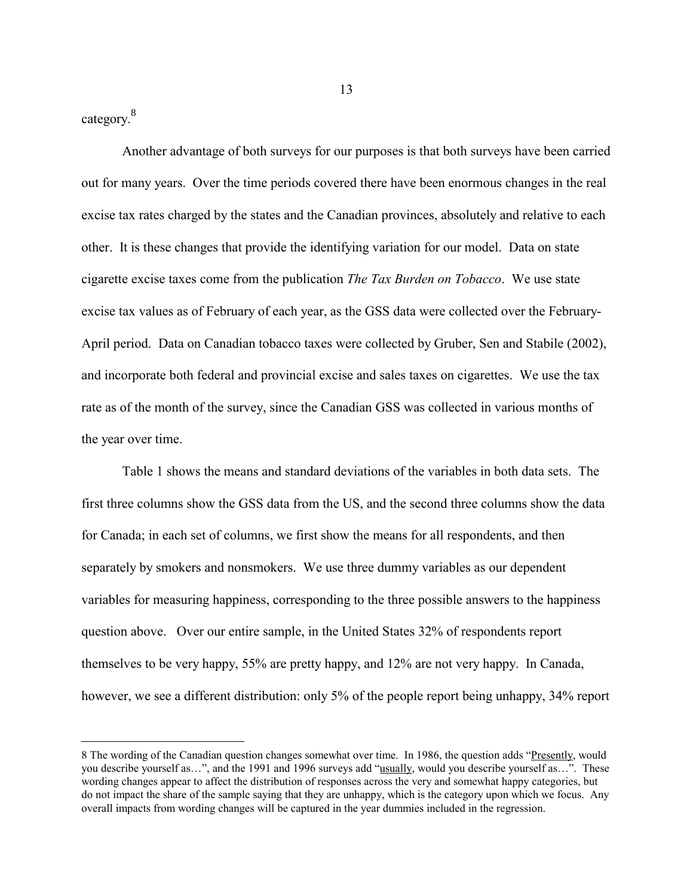category.<sup>8</sup>

1

Another advantage of both surveys for our purposes is that both surveys have been carried out for many years. Over the time periods covered there have been enormous changes in the real excise tax rates charged by the states and the Canadian provinces, absolutely and relative to each other. It is these changes that provide the identifying variation for our model. Data on state cigarette excise taxes come from the publication *The Tax Burden on Tobacco*. We use state excise tax values as of February of each year, as the GSS data were collected over the February-April period. Data on Canadian tobacco taxes were collected by Gruber, Sen and Stabile (2002), and incorporate both federal and provincial excise and sales taxes on cigarettes. We use the tax rate as of the month of the survey, since the Canadian GSS was collected in various months of the year over time.

Table 1 shows the means and standard deviations of the variables in both data sets. The first three columns show the GSS data from the US, and the second three columns show the data for Canada; in each set of columns, we first show the means for all respondents, and then separately by smokers and nonsmokers. We use three dummy variables as our dependent variables for measuring happiness, corresponding to the three possible answers to the happiness question above. Over our entire sample, in the United States 32% of respondents report themselves to be very happy, 55% are pretty happy, and 12% are not very happy. In Canada, however, we see a different distribution: only 5% of the people report being unhappy, 34% report

<sup>8</sup> The wording of the Canadian question changes somewhat over time. In 1986, the question adds "Presently, would you describe yourself as…", and the 1991 and 1996 surveys add "usually, would you describe yourself as…". These wording changes appear to affect the distribution of responses across the very and somewhat happy categories, but do not impact the share of the sample saying that they are unhappy, which is the category upon which we focus. Any overall impacts from wording changes will be captured in the year dummies included in the regression.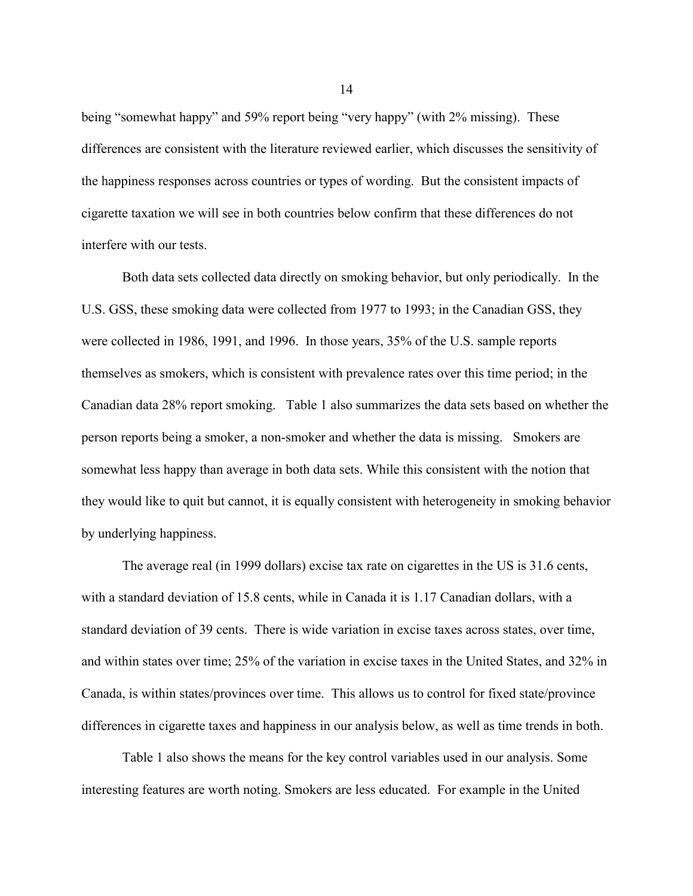being "somewhat happy" and 59% report being "very happy" (with 2% missing). These differences are consistent with the literature reviewed earlier, which discusses the sensitivity of the happiness responses across countries or types of wording. But the consistent impacts of cigarette taxation we will see in both countries below confirm that these differences do not interfere with our tests.

Both data sets collected data directly on smoking behavior, but only periodically. In the U.S. GSS, these smoking data were collected from 1977 to 1993; in the Canadian GSS, they were collected in 1986, 1991, and 1996. In those years, 35% of the U.S. sample reports themselves as smokers, which is consistent with prevalence rates over this time period; in the Canadian data 28% report smoking. Table 1 also summarizes the data sets based on whether the person reports being a smoker, a non-smoker and whether the data is missing. Smokers are somewhat less happy than average in both data sets. While this consistent with the notion that they would like to quit but cannot, it is equally consistent with heterogeneity in smoking behavior by underlying happiness.

The average real (in 1999 dollars) excise tax rate on cigarettes in the US is 31.6 cents, with a standard deviation of 15.8 cents, while in Canada it is 1.17 Canadian dollars, with a standard deviation of 39 cents. There is wide variation in excise taxes across states, over time, and within states over time; 25% of the variation in excise taxes in the United States, and 32% in Canada, is within states/provinces over time. This allows us to control for fixed state/province differences in cigarette taxes and happiness in our analysis below, as well as time trends in both.

Table 1 also shows the means for the key control variables used in our analysis. Some interesting features are worth noting. Smokers are less educated. For example in the United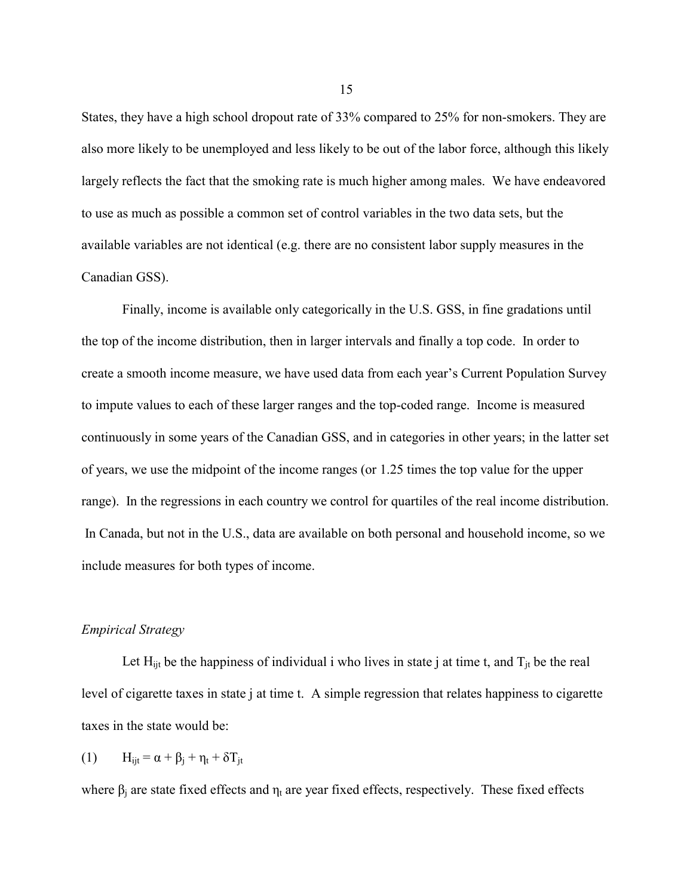States, they have a high school dropout rate of 33% compared to 25% for non-smokers. They are also more likely to be unemployed and less likely to be out of the labor force, although this likely largely reflects the fact that the smoking rate is much higher among males. We have endeavored to use as much as possible a common set of control variables in the two data sets, but the available variables are not identical (e.g. there are no consistent labor supply measures in the Canadian GSS).

Finally, income is available only categorically in the U.S. GSS, in fine gradations until the top of the income distribution, then in larger intervals and finally a top code. In order to create a smooth income measure, we have used data from each year's Current Population Survey to impute values to each of these larger ranges and the top-coded range. Income is measured continuously in some years of the Canadian GSS, and in categories in other years; in the latter set of years, we use the midpoint of the income ranges (or 1.25 times the top value for the upper range). In the regressions in each country we control for quartiles of the real income distribution. In Canada, but not in the U.S., data are available on both personal and household income, so we include measures for both types of income.

# *Empirical Strategy*

Let  $H_{\text{lit}}$  be the happiness of individual i who lives in state j at time t, and  $T_{\text{it}}$  be the real level of cigarette taxes in state j at time t. A simple regression that relates happiness to cigarette taxes in the state would be:

$$
(1) \tH_{ijt} = \alpha + \beta_j + \eta_t + \delta T_{jt}
$$

where  $\beta_i$  are state fixed effects and  $\eta_t$  are year fixed effects, respectively. These fixed effects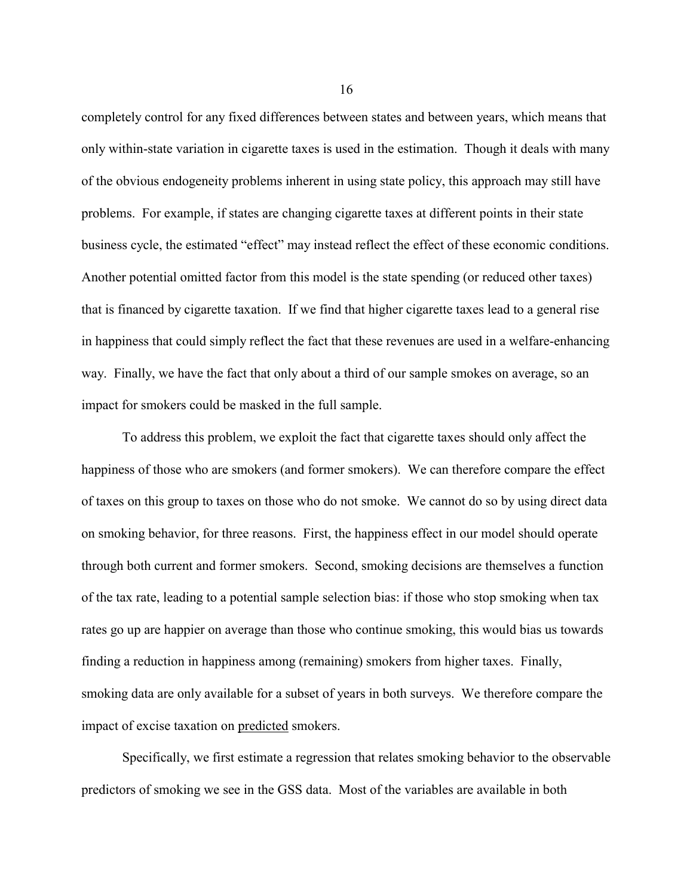completely control for any fixed differences between states and between years, which means that only within-state variation in cigarette taxes is used in the estimation. Though it deals with many of the obvious endogeneity problems inherent in using state policy, this approach may still have problems. For example, if states are changing cigarette taxes at different points in their state business cycle, the estimated "effect" may instead reflect the effect of these economic conditions. Another potential omitted factor from this model is the state spending (or reduced other taxes) that is financed by cigarette taxation. If we find that higher cigarette taxes lead to a general rise in happiness that could simply reflect the fact that these revenues are used in a welfare-enhancing way. Finally, we have the fact that only about a third of our sample smokes on average, so an impact for smokers could be masked in the full sample.

To address this problem, we exploit the fact that cigarette taxes should only affect the happiness of those who are smokers (and former smokers). We can therefore compare the effect of taxes on this group to taxes on those who do not smoke. We cannot do so by using direct data on smoking behavior, for three reasons. First, the happiness effect in our model should operate through both current and former smokers. Second, smoking decisions are themselves a function of the tax rate, leading to a potential sample selection bias: if those who stop smoking when tax rates go up are happier on average than those who continue smoking, this would bias us towards finding a reduction in happiness among (remaining) smokers from higher taxes. Finally, smoking data are only available for a subset of years in both surveys. We therefore compare the impact of excise taxation on predicted smokers.

Specifically, we first estimate a regression that relates smoking behavior to the observable predictors of smoking we see in the GSS data. Most of the variables are available in both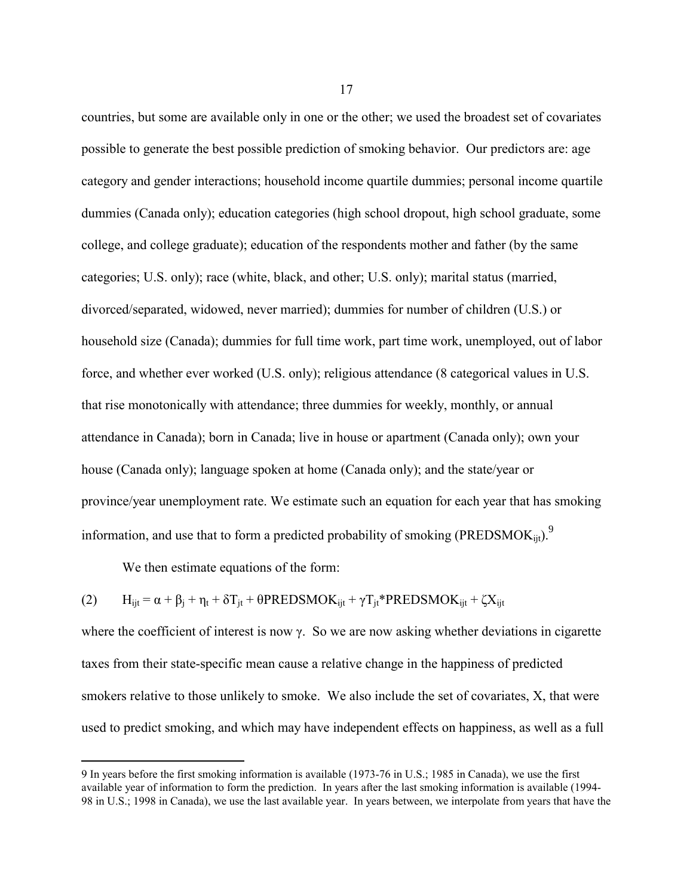countries, but some are available only in one or the other; we used the broadest set of covariates possible to generate the best possible prediction of smoking behavior. Our predictors are: age category and gender interactions; household income quartile dummies; personal income quartile dummies (Canada only); education categories (high school dropout, high school graduate, some college, and college graduate); education of the respondents mother and father (by the same categories; U.S. only); race (white, black, and other; U.S. only); marital status (married, divorced/separated, widowed, never married); dummies for number of children (U.S.) or household size (Canada); dummies for full time work, part time work, unemployed, out of labor force, and whether ever worked (U.S. only); religious attendance (8 categorical values in U.S. that rise monotonically with attendance; three dummies for weekly, monthly, or annual attendance in Canada); born in Canada; live in house or apartment (Canada only); own your house (Canada only); language spoken at home (Canada only); and the state/year or province/year unemployment rate. We estimate such an equation for each year that has smoking information, and use that to form a predicted probability of smoking (PREDSMOK $_{\text{ii}}$ ).<sup>9</sup>

We then estimate equations of the form:

1

(2) 
$$
H_{ijt} = \alpha + \beta_j + \eta_t + \delta T_{jt} + \theta PREDSMOK_{ijt} + \gamma T_{jt} * PREDSMOK_{ijt} + \zeta X_{ijt}
$$

where the coefficient of interest is now  $\gamma$ . So we are now asking whether deviations in cigarette taxes from their state-specific mean cause a relative change in the happiness of predicted smokers relative to those unlikely to smoke. We also include the set of covariates, X, that were used to predict smoking, and which may have independent effects on happiness, as well as a full

<sup>9</sup> In years before the first smoking information is available (1973-76 in U.S.; 1985 in Canada), we use the first available year of information to form the prediction. In years after the last smoking information is available (1994- 98 in U.S.; 1998 in Canada), we use the last available year. In years between, we interpolate from years that have the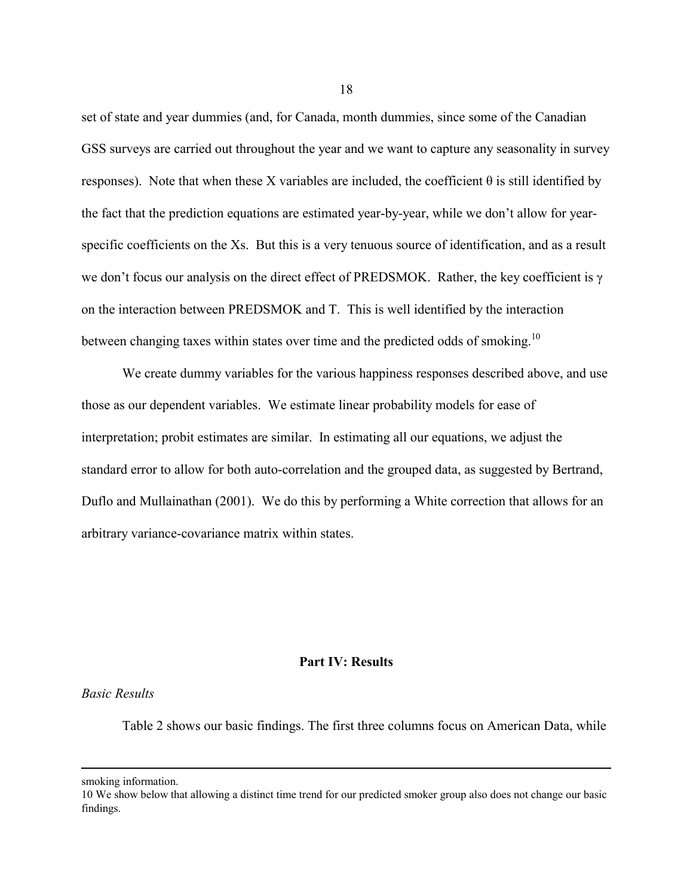set of state and year dummies (and, for Canada, month dummies, since some of the Canadian GSS surveys are carried out throughout the year and we want to capture any seasonality in survey responses). Note that when these X variables are included, the coefficient θ is still identified by the fact that the prediction equations are estimated year-by-year, while we don't allow for yearspecific coefficients on the Xs. But this is a very tenuous source of identification, and as a result we don't focus our analysis on the direct effect of PREDSMOK. Rather, the key coefficient is  $\gamma$ on the interaction between PREDSMOK and T. This is well identified by the interaction between changing taxes within states over time and the predicted odds of smoking.<sup>10</sup>

We create dummy variables for the various happiness responses described above, and use those as our dependent variables. We estimate linear probability models for ease of interpretation; probit estimates are similar. In estimating all our equations, we adjust the standard error to allow for both auto-correlation and the grouped data, as suggested by Bertrand, Duflo and Mullainathan (2001). We do this by performing a White correction that allows for an arbitrary variance-covariance matrix within states.

# **Part IV: Results**

# *Basic Results*

1

Table 2 shows our basic findings. The first three columns focus on American Data, while

smoking information.

<sup>10</sup> We show below that allowing a distinct time trend for our predicted smoker group also does not change our basic findings.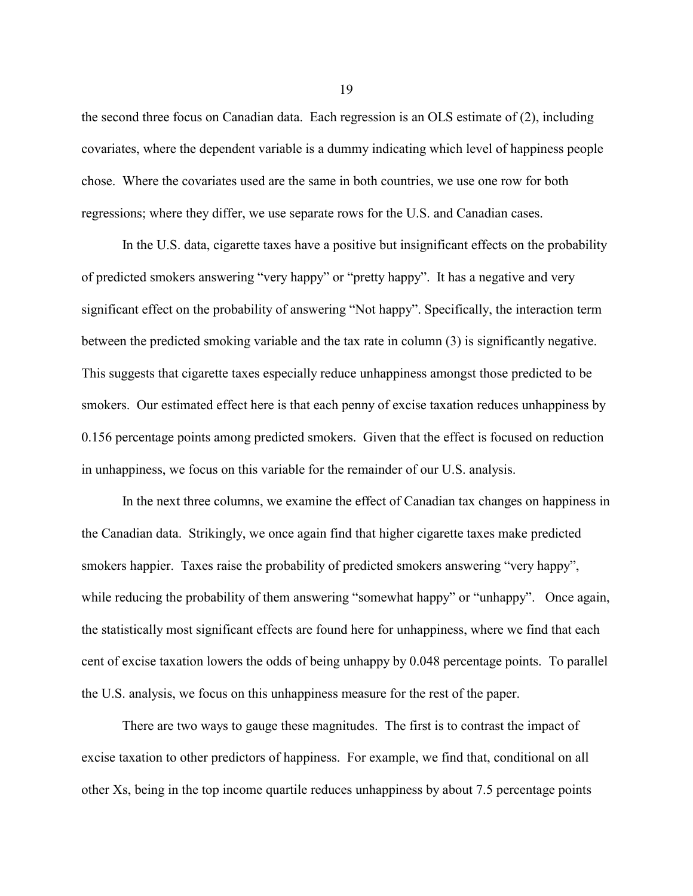the second three focus on Canadian data. Each regression is an OLS estimate of (2), including covariates, where the dependent variable is a dummy indicating which level of happiness people chose. Where the covariates used are the same in both countries, we use one row for both regressions; where they differ, we use separate rows for the U.S. and Canadian cases.

In the U.S. data, cigarette taxes have a positive but insignificant effects on the probability of predicted smokers answering "very happy" or "pretty happy". It has a negative and very significant effect on the probability of answering "Not happy". Specifically, the interaction term between the predicted smoking variable and the tax rate in column (3) is significantly negative. This suggests that cigarette taxes especially reduce unhappiness amongst those predicted to be smokers. Our estimated effect here is that each penny of excise taxation reduces unhappiness by 0.156 percentage points among predicted smokers. Given that the effect is focused on reduction in unhappiness, we focus on this variable for the remainder of our U.S. analysis.

 In the next three columns, we examine the effect of Canadian tax changes on happiness in the Canadian data. Strikingly, we once again find that higher cigarette taxes make predicted smokers happier. Taxes raise the probability of predicted smokers answering "very happy", while reducing the probability of them answering "somewhat happy" or "unhappy". Once again, the statistically most significant effects are found here for unhappiness, where we find that each cent of excise taxation lowers the odds of being unhappy by 0.048 percentage points. To parallel the U.S. analysis, we focus on this unhappiness measure for the rest of the paper.

There are two ways to gauge these magnitudes. The first is to contrast the impact of excise taxation to other predictors of happiness. For example, we find that, conditional on all other Xs, being in the top income quartile reduces unhappiness by about 7.5 percentage points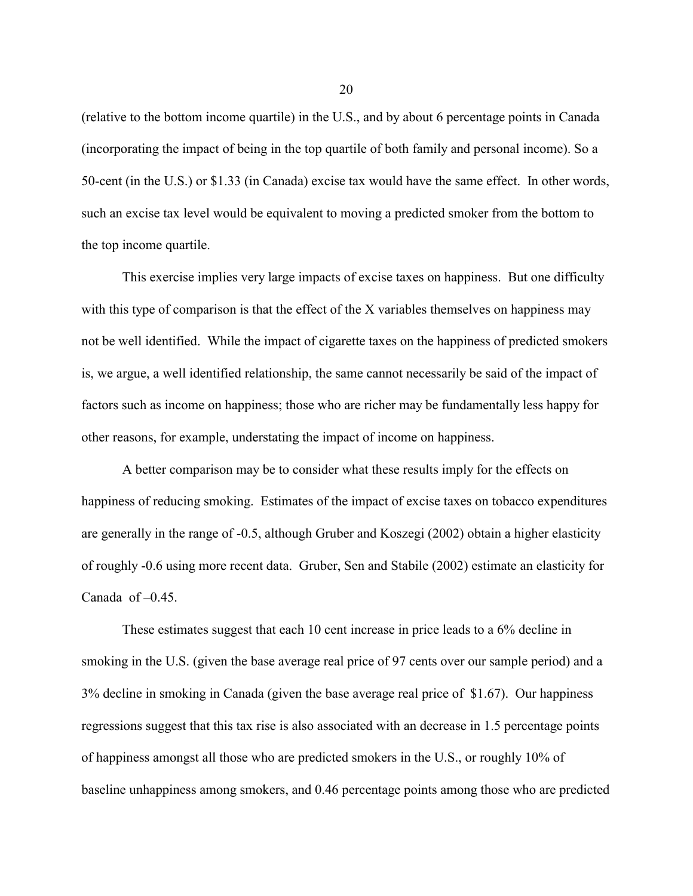(relative to the bottom income quartile) in the U.S., and by about 6 percentage points in Canada (incorporating the impact of being in the top quartile of both family and personal income). So a 50-cent (in the U.S.) or \$1.33 (in Canada) excise tax would have the same effect. In other words, such an excise tax level would be equivalent to moving a predicted smoker from the bottom to the top income quartile.

This exercise implies very large impacts of excise taxes on happiness. But one difficulty with this type of comparison is that the effect of the X variables themselves on happiness may not be well identified. While the impact of cigarette taxes on the happiness of predicted smokers is, we argue, a well identified relationship, the same cannot necessarily be said of the impact of factors such as income on happiness; those who are richer may be fundamentally less happy for other reasons, for example, understating the impact of income on happiness.

A better comparison may be to consider what these results imply for the effects on happiness of reducing smoking. Estimates of the impact of excise taxes on tobacco expenditures are generally in the range of -0.5, although Gruber and Koszegi (2002) obtain a higher elasticity of roughly -0.6 using more recent data. Gruber, Sen and Stabile (2002) estimate an elasticity for Canada of  $-0.45$ .

These estimates suggest that each 10 cent increase in price leads to a 6% decline in smoking in the U.S. (given the base average real price of 97 cents over our sample period) and a 3% decline in smoking in Canada (given the base average real price of \$1.67). Our happiness regressions suggest that this tax rise is also associated with an decrease in 1.5 percentage points of happiness amongst all those who are predicted smokers in the U.S., or roughly 10% of baseline unhappiness among smokers, and 0.46 percentage points among those who are predicted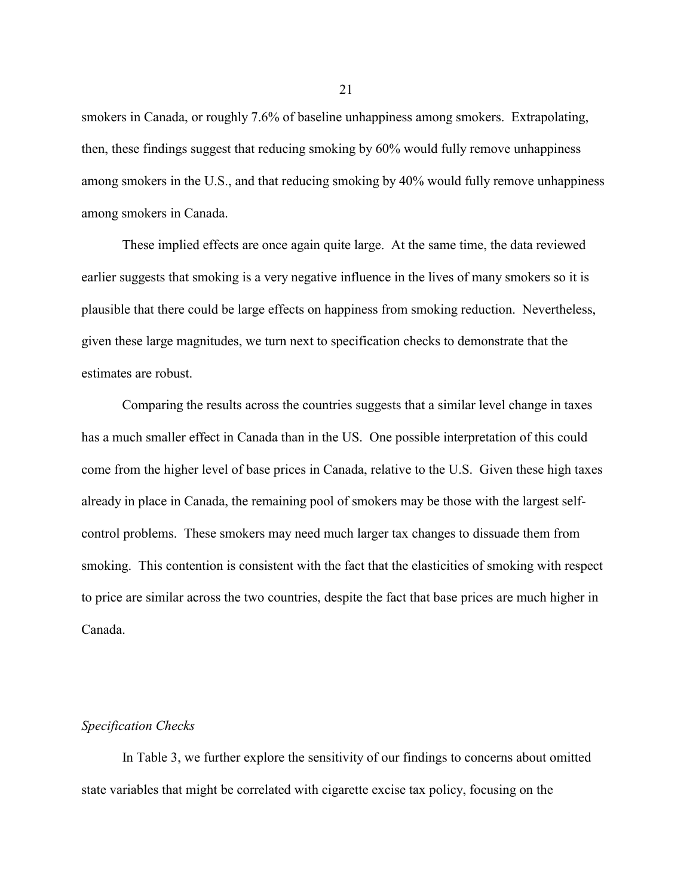smokers in Canada, or roughly 7.6% of baseline unhappiness among smokers. Extrapolating, then, these findings suggest that reducing smoking by 60% would fully remove unhappiness among smokers in the U.S., and that reducing smoking by 40% would fully remove unhappiness among smokers in Canada.

These implied effects are once again quite large. At the same time, the data reviewed earlier suggests that smoking is a very negative influence in the lives of many smokers so it is plausible that there could be large effects on happiness from smoking reduction. Nevertheless, given these large magnitudes, we turn next to specification checks to demonstrate that the estimates are robust.

Comparing the results across the countries suggests that a similar level change in taxes has a much smaller effect in Canada than in the US. One possible interpretation of this could come from the higher level of base prices in Canada, relative to the U.S. Given these high taxes already in place in Canada, the remaining pool of smokers may be those with the largest selfcontrol problems. These smokers may need much larger tax changes to dissuade them from smoking. This contention is consistent with the fact that the elasticities of smoking with respect to price are similar across the two countries, despite the fact that base prices are much higher in Canada.

# *Specification Checks*

In Table 3, we further explore the sensitivity of our findings to concerns about omitted state variables that might be correlated with cigarette excise tax policy, focusing on the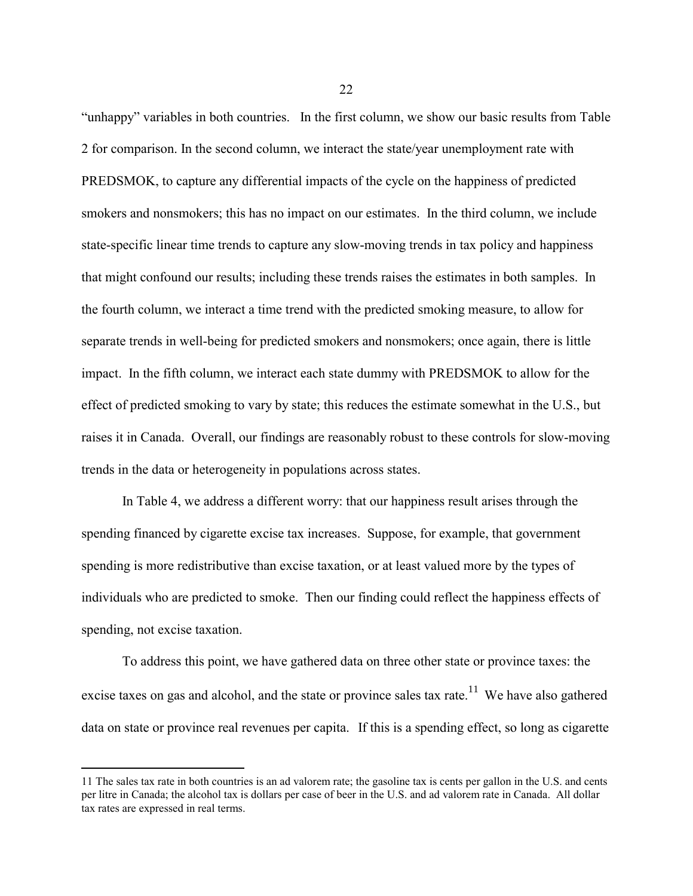"unhappy" variables in both countries. In the first column, we show our basic results from Table 2 for comparison. In the second column, we interact the state/year unemployment rate with PREDSMOK, to capture any differential impacts of the cycle on the happiness of predicted smokers and nonsmokers; this has no impact on our estimates. In the third column, we include state-specific linear time trends to capture any slow-moving trends in tax policy and happiness that might confound our results; including these trends raises the estimates in both samples. In the fourth column, we interact a time trend with the predicted smoking measure, to allow for separate trends in well-being for predicted smokers and nonsmokers; once again, there is little impact. In the fifth column, we interact each state dummy with PREDSMOK to allow for the effect of predicted smoking to vary by state; this reduces the estimate somewhat in the U.S., but raises it in Canada. Overall, our findings are reasonably robust to these controls for slow-moving trends in the data or heterogeneity in populations across states.

In Table 4, we address a different worry: that our happiness result arises through the spending financed by cigarette excise tax increases. Suppose, for example, that government spending is more redistributive than excise taxation, or at least valued more by the types of individuals who are predicted to smoke. Then our finding could reflect the happiness effects of spending, not excise taxation.

To address this point, we have gathered data on three other state or province taxes: the excise taxes on gas and alcohol, and the state or province sales tax rate.<sup>11</sup> We have also gathered data on state or province real revenues per capita. If this is a spending effect, so long as cigarette

 $\overline{a}$ 

<sup>11</sup> The sales tax rate in both countries is an ad valorem rate; the gasoline tax is cents per gallon in the U.S. and cents per litre in Canada; the alcohol tax is dollars per case of beer in the U.S. and ad valorem rate in Canada. All dollar tax rates are expressed in real terms.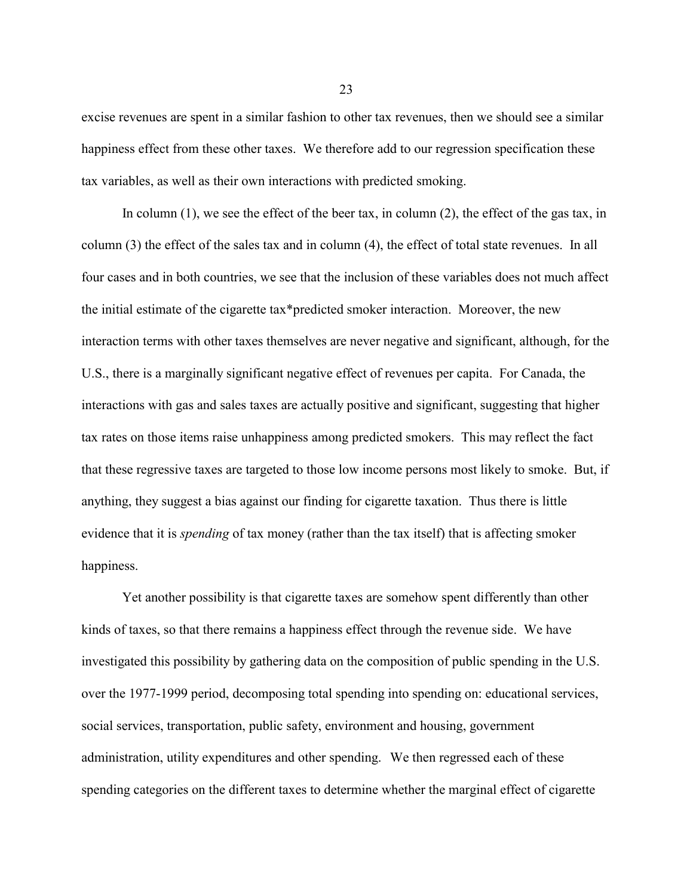excise revenues are spent in a similar fashion to other tax revenues, then we should see a similar happiness effect from these other taxes. We therefore add to our regression specification these tax variables, as well as their own interactions with predicted smoking.

In column  $(1)$ , we see the effect of the beer tax, in column  $(2)$ , the effect of the gas tax, in column (3) the effect of the sales tax and in column (4), the effect of total state revenues. In all four cases and in both countries, we see that the inclusion of these variables does not much affect the initial estimate of the cigarette tax\*predicted smoker interaction. Moreover, the new interaction terms with other taxes themselves are never negative and significant, although, for the U.S., there is a marginally significant negative effect of revenues per capita. For Canada, the interactions with gas and sales taxes are actually positive and significant, suggesting that higher tax rates on those items raise unhappiness among predicted smokers. This may reflect the fact that these regressive taxes are targeted to those low income persons most likely to smoke. But, if anything, they suggest a bias against our finding for cigarette taxation. Thus there is little evidence that it is *spending* of tax money (rather than the tax itself) that is affecting smoker happiness.

Yet another possibility is that cigarette taxes are somehow spent differently than other kinds of taxes, so that there remains a happiness effect through the revenue side. We have investigated this possibility by gathering data on the composition of public spending in the U.S. over the 1977-1999 period, decomposing total spending into spending on: educational services, social services, transportation, public safety, environment and housing, government administration, utility expenditures and other spending. We then regressed each of these spending categories on the different taxes to determine whether the marginal effect of cigarette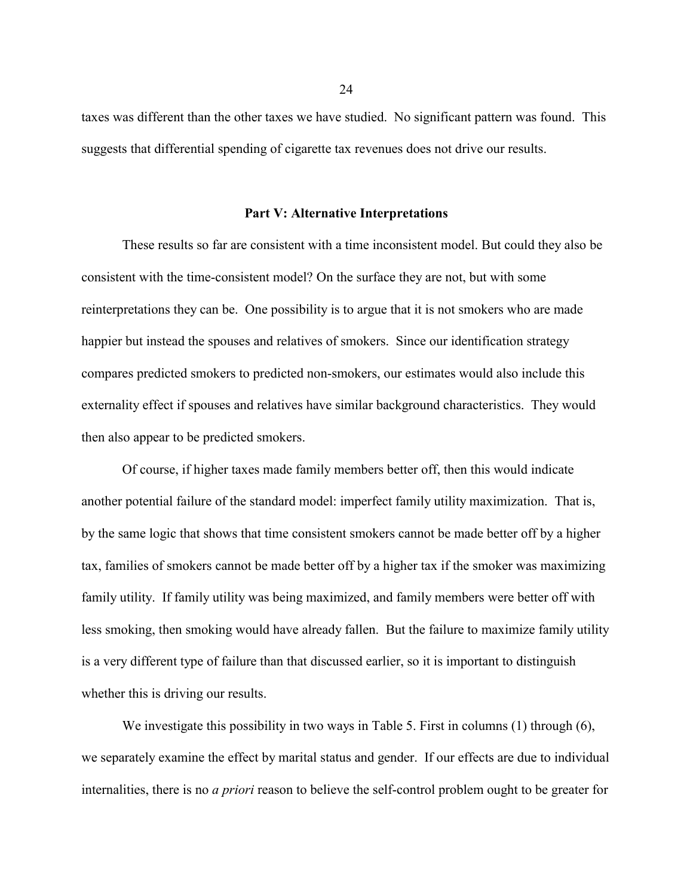taxes was different than the other taxes we have studied. No significant pattern was found. This suggests that differential spending of cigarette tax revenues does not drive our results.

## **Part V: Alternative Interpretations**

These results so far are consistent with a time inconsistent model. But could they also be consistent with the time-consistent model? On the surface they are not, but with some reinterpretations they can be. One possibility is to argue that it is not smokers who are made happier but instead the spouses and relatives of smokers. Since our identification strategy compares predicted smokers to predicted non-smokers, our estimates would also include this externality effect if spouses and relatives have similar background characteristics. They would then also appear to be predicted smokers.

Of course, if higher taxes made family members better off, then this would indicate another potential failure of the standard model: imperfect family utility maximization. That is, by the same logic that shows that time consistent smokers cannot be made better off by a higher tax, families of smokers cannot be made better off by a higher tax if the smoker was maximizing family utility. If family utility was being maximized, and family members were better off with less smoking, then smoking would have already fallen. But the failure to maximize family utility is a very different type of failure than that discussed earlier, so it is important to distinguish whether this is driving our results.

We investigate this possibility in two ways in Table 5. First in columns (1) through (6), we separately examine the effect by marital status and gender. If our effects are due to individual internalities, there is no *a priori* reason to believe the self-control problem ought to be greater for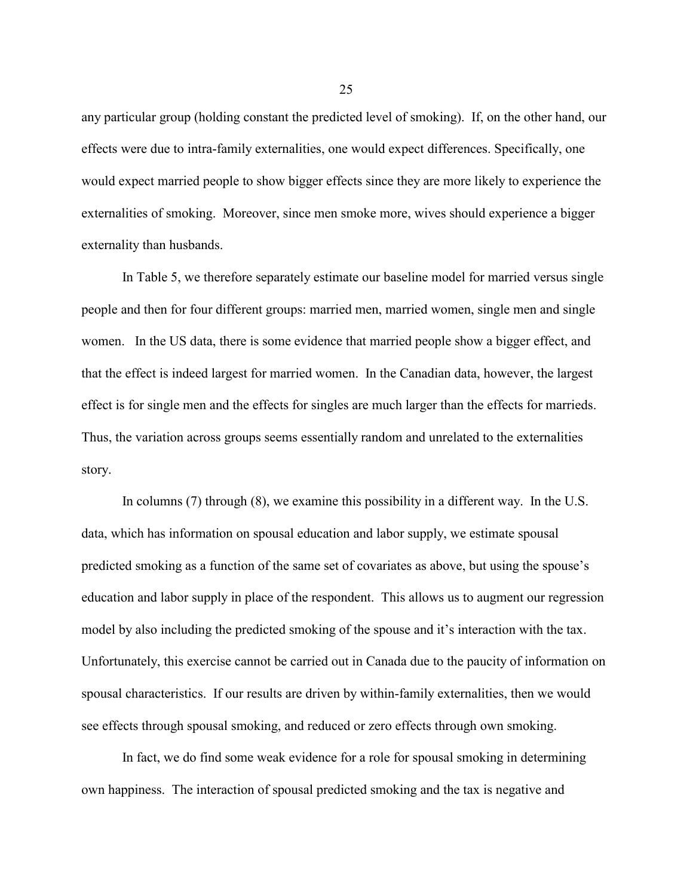any particular group (holding constant the predicted level of smoking). If, on the other hand, our effects were due to intra-family externalities, one would expect differences. Specifically, one would expect married people to show bigger effects since they are more likely to experience the externalities of smoking. Moreover, since men smoke more, wives should experience a bigger externality than husbands.

In Table 5, we therefore separately estimate our baseline model for married versus single people and then for four different groups: married men, married women, single men and single women. In the US data, there is some evidence that married people show a bigger effect, and that the effect is indeed largest for married women. In the Canadian data, however, the largest effect is for single men and the effects for singles are much larger than the effects for marrieds. Thus, the variation across groups seems essentially random and unrelated to the externalities story.

In columns (7) through (8), we examine this possibility in a different way. In the U.S. data, which has information on spousal education and labor supply, we estimate spousal predicted smoking as a function of the same set of covariates as above, but using the spouse's education and labor supply in place of the respondent. This allows us to augment our regression model by also including the predicted smoking of the spouse and it's interaction with the tax. Unfortunately, this exercise cannot be carried out in Canada due to the paucity of information on spousal characteristics. If our results are driven by within-family externalities, then we would see effects through spousal smoking, and reduced or zero effects through own smoking.

In fact, we do find some weak evidence for a role for spousal smoking in determining own happiness. The interaction of spousal predicted smoking and the tax is negative and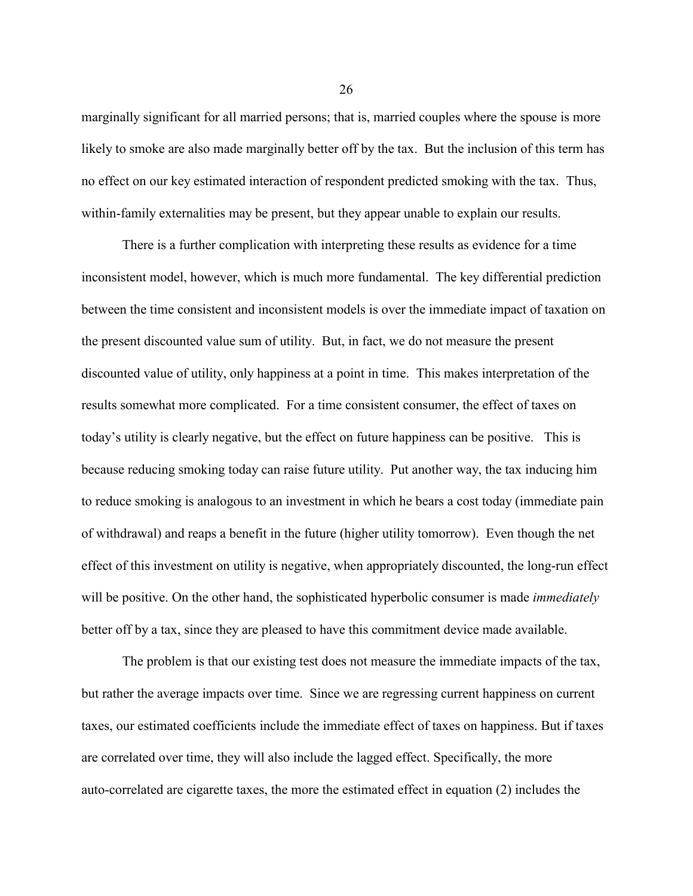marginally significant for all married persons; that is, married couples where the spouse is more likely to smoke are also made marginally better off by the tax. But the inclusion of this term has no effect on our key estimated interaction of respondent predicted smoking with the tax. Thus, within-family externalities may be present, but they appear unable to explain our results.

There is a further complication with interpreting these results as evidence for a time inconsistent model, however, which is much more fundamental. The key differential prediction between the time consistent and inconsistent models is over the immediate impact of taxation on the present discounted value sum of utility. But, in fact, we do not measure the present discounted value of utility, only happiness at a point in time. This makes interpretation of the results somewhat more complicated. For a time consistent consumer, the effect of taxes on today's utility is clearly negative, but the effect on future happiness can be positive. This is because reducing smoking today can raise future utility. Put another way, the tax inducing him to reduce smoking is analogous to an investment in which he bears a cost today (immediate pain of withdrawal) and reaps a benefit in the future (higher utility tomorrow). Even though the net effect of this investment on utility is negative, when appropriately discounted, the long-run effect will be positive. On the other hand, the sophisticated hyperbolic consumer is made *immediately* better off by a tax, since they are pleased to have this commitment device made available.

 The problem is that our existing test does not measure the immediate impacts of the tax, but rather the average impacts over time. Since we are regressing current happiness on current taxes, our estimated coefficients include the immediate effect of taxes on happiness. But if taxes are correlated over time, they will also include the lagged effect. Specifically, the more auto-correlated are cigarette taxes, the more the estimated effect in equation (2) includes the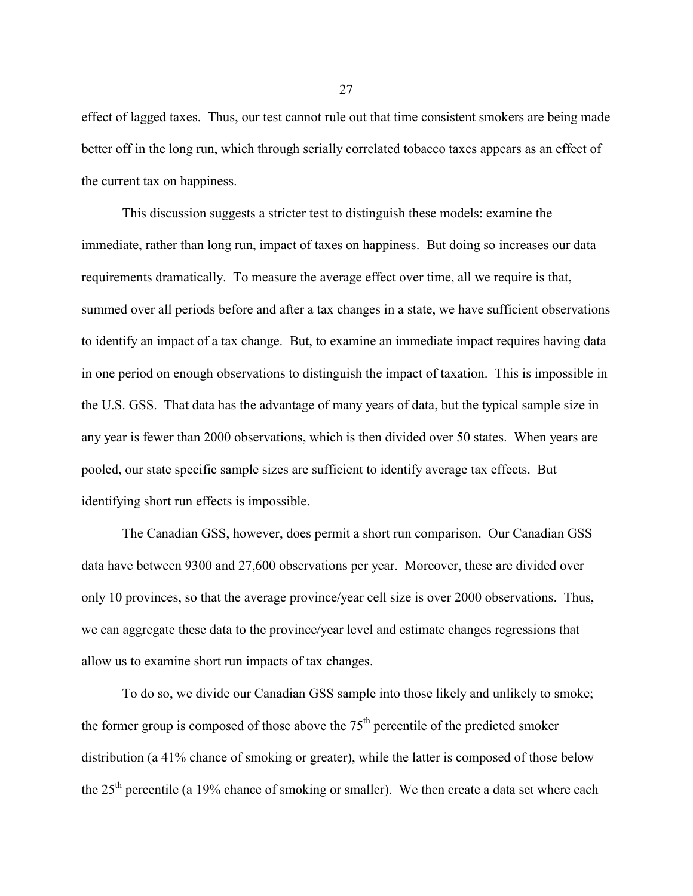effect of lagged taxes. Thus, our test cannot rule out that time consistent smokers are being made better off in the long run, which through serially correlated tobacco taxes appears as an effect of the current tax on happiness.

This discussion suggests a stricter test to distinguish these models: examine the immediate, rather than long run, impact of taxes on happiness. But doing so increases our data requirements dramatically. To measure the average effect over time, all we require is that, summed over all periods before and after a tax changes in a state, we have sufficient observations to identify an impact of a tax change. But, to examine an immediate impact requires having data in one period on enough observations to distinguish the impact of taxation. This is impossible in the U.S. GSS. That data has the advantage of many years of data, but the typical sample size in any year is fewer than 2000 observations, which is then divided over 50 states. When years are pooled, our state specific sample sizes are sufficient to identify average tax effects. But identifying short run effects is impossible.

The Canadian GSS, however, does permit a short run comparison. Our Canadian GSS data have between 9300 and 27,600 observations per year. Moreover, these are divided over only 10 provinces, so that the average province/year cell size is over 2000 observations. Thus, we can aggregate these data to the province/year level and estimate changes regressions that allow us to examine short run impacts of tax changes.

To do so, we divide our Canadian GSS sample into those likely and unlikely to smoke; the former group is composed of those above the  $75<sup>th</sup>$  percentile of the predicted smoker distribution (a 41% chance of smoking or greater), while the latter is composed of those below the  $25<sup>th</sup>$  percentile (a 19% chance of smoking or smaller). We then create a data set where each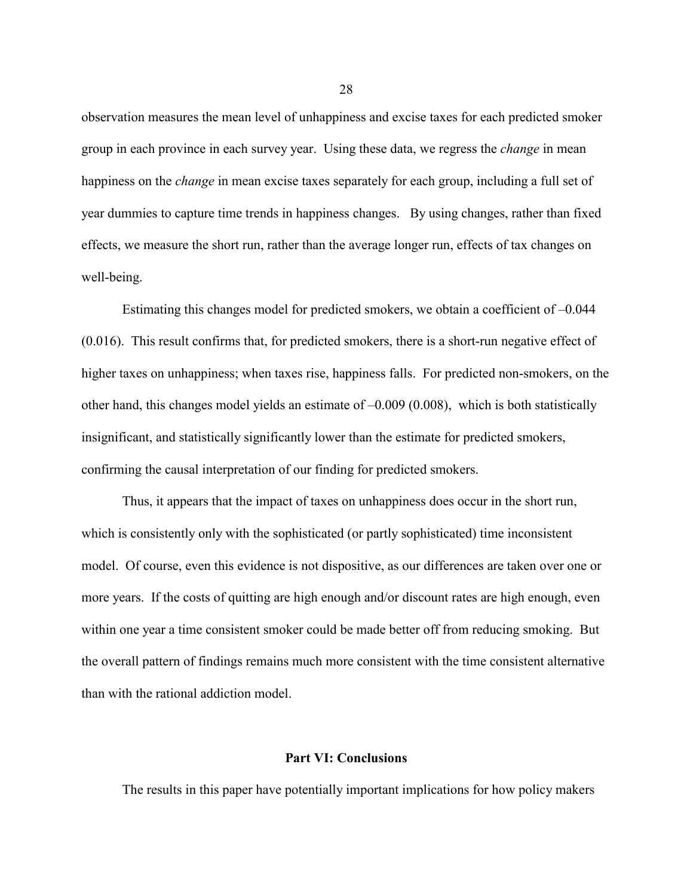observation measures the mean level of unhappiness and excise taxes for each predicted smoker group in each province in each survey year. Using these data, we regress the *change* in mean happiness on the *change* in mean excise taxes separately for each group, including a full set of year dummies to capture time trends in happiness changes. By using changes, rather than fixed effects, we measure the short run, rather than the average longer run, effects of tax changes on well-being.

Estimating this changes model for predicted smokers, we obtain a coefficient of –0.044 (0.016). This result confirms that, for predicted smokers, there is a short-run negative effect of higher taxes on unhappiness; when taxes rise, happiness falls. For predicted non-smokers, on the other hand, this changes model yields an estimate of –0.009 (0.008), which is both statistically insignificant, and statistically significantly lower than the estimate for predicted smokers, confirming the causal interpretation of our finding for predicted smokers.

Thus, it appears that the impact of taxes on unhappiness does occur in the short run, which is consistently only with the sophisticated (or partly sophisticated) time inconsistent model. Of course, even this evidence is not dispositive, as our differences are taken over one or more years. If the costs of quitting are high enough and/or discount rates are high enough, even within one year a time consistent smoker could be made better off from reducing smoking. But the overall pattern of findings remains much more consistent with the time consistent alternative than with the rational addiction model.

## **Part VI: Conclusions**

The results in this paper have potentially important implications for how policy makers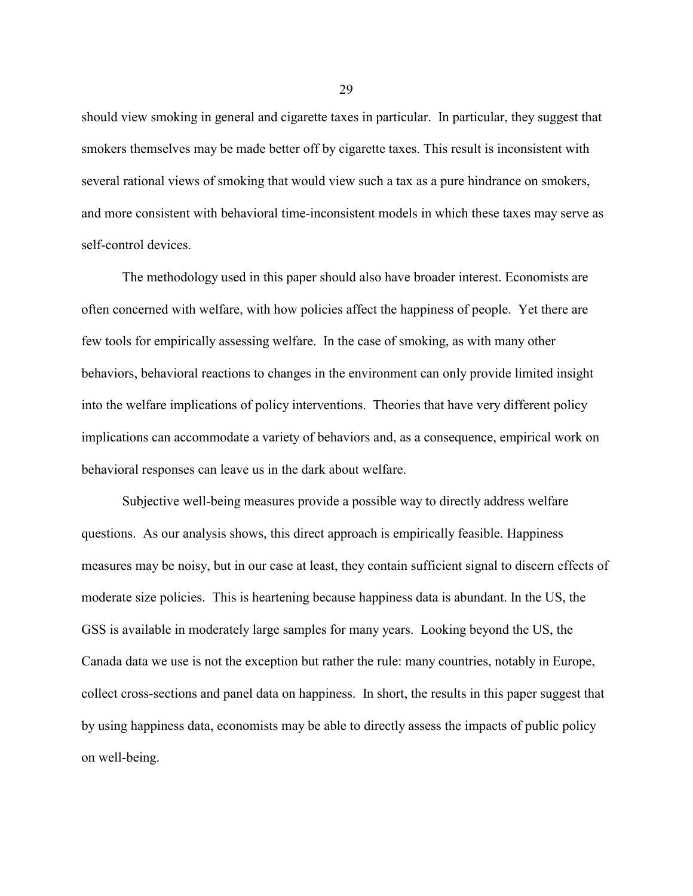should view smoking in general and cigarette taxes in particular. In particular, they suggest that smokers themselves may be made better off by cigarette taxes. This result is inconsistent with several rational views of smoking that would view such a tax as a pure hindrance on smokers, and more consistent with behavioral time-inconsistent models in which these taxes may serve as self-control devices.

The methodology used in this paper should also have broader interest. Economists are often concerned with welfare, with how policies affect the happiness of people. Yet there are few tools for empirically assessing welfare. In the case of smoking, as with many other behaviors, behavioral reactions to changes in the environment can only provide limited insight into the welfare implications of policy interventions. Theories that have very different policy implications can accommodate a variety of behaviors and, as a consequence, empirical work on behavioral responses can leave us in the dark about welfare.

Subjective well-being measures provide a possible way to directly address welfare questions. As our analysis shows, this direct approach is empirically feasible. Happiness measures may be noisy, but in our case at least, they contain sufficient signal to discern effects of moderate size policies. This is heartening because happiness data is abundant. In the US, the GSS is available in moderately large samples for many years. Looking beyond the US, the Canada data we use is not the exception but rather the rule: many countries, notably in Europe, collect cross-sections and panel data on happiness. In short, the results in this paper suggest that by using happiness data, economists may be able to directly assess the impacts of public policy on well-being.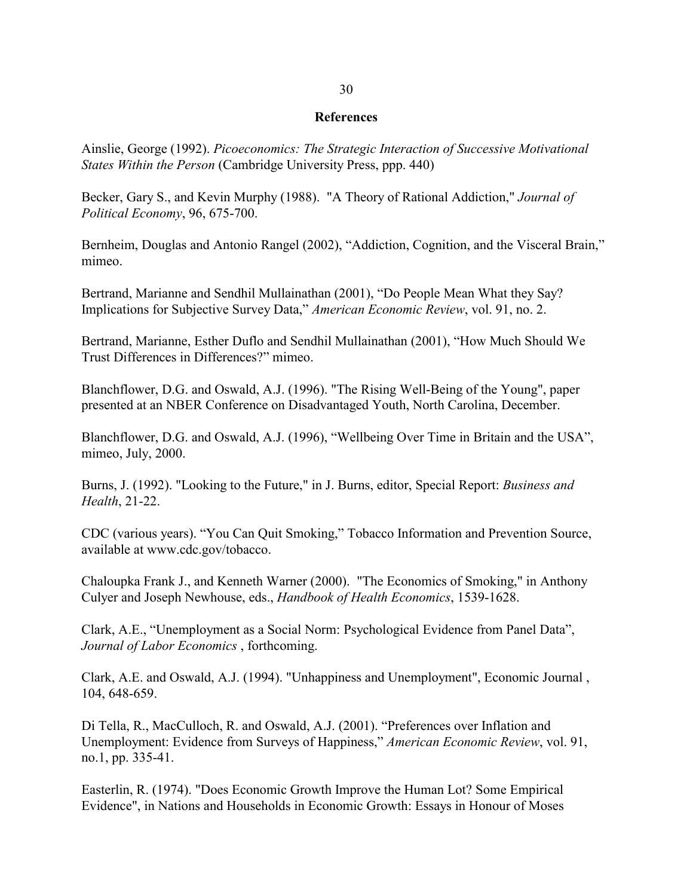## **References**

Ainslie, George (1992). *Picoeconomics: The Strategic Interaction of Successive Motivational States Within the Person* (Cambridge University Press, ppp. 440)

Becker, Gary S., and Kevin Murphy (1988). "A Theory of Rational Addiction," *Journal of Political Economy*, 96, 675-700.

Bernheim, Douglas and Antonio Rangel (2002), "Addiction, Cognition, and the Visceral Brain," mimeo.

Bertrand, Marianne and Sendhil Mullainathan (2001), "Do People Mean What they Say? Implications for Subjective Survey Data," *American Economic Review*, vol. 91, no. 2.

Bertrand, Marianne, Esther Duflo and Sendhil Mullainathan (2001), "How Much Should We Trust Differences in Differences?" mimeo.

Blanchflower, D.G. and Oswald, A.J. (1996). "The Rising Well-Being of the Young", paper presented at an NBER Conference on Disadvantaged Youth, North Carolina, December.

Blanchflower, D.G. and Oswald, A.J. (1996), "Wellbeing Over Time in Britain and the USA", mimeo, July, 2000.

Burns, J. (1992). "Looking to the Future," in J. Burns, editor, Special Report: *Business and Health*, 21-22.

CDC (various years). "You Can Quit Smoking," Tobacco Information and Prevention Source, available at www.cdc.gov/tobacco.

Chaloupka Frank J., and Kenneth Warner (2000). "The Economics of Smoking," in Anthony Culyer and Joseph Newhouse, eds., *Handbook of Health Economics*, 1539-1628.

Clark, A.E., "Unemployment as a Social Norm: Psychological Evidence from Panel Data", *Journal of Labor Economics* , forthcoming.

Clark, A.E. and Oswald, A.J. (1994). "Unhappiness and Unemployment", Economic Journal , 104, 648-659.

Di Tella, R., MacCulloch, R. and Oswald, A.J. (2001). "Preferences over Inflation and Unemployment: Evidence from Surveys of Happiness," *American Economic Review*, vol. 91, no.1, pp. 335-41.

Easterlin, R. (1974). "Does Economic Growth Improve the Human Lot? Some Empirical Evidence", in Nations and Households in Economic Growth: Essays in Honour of Moses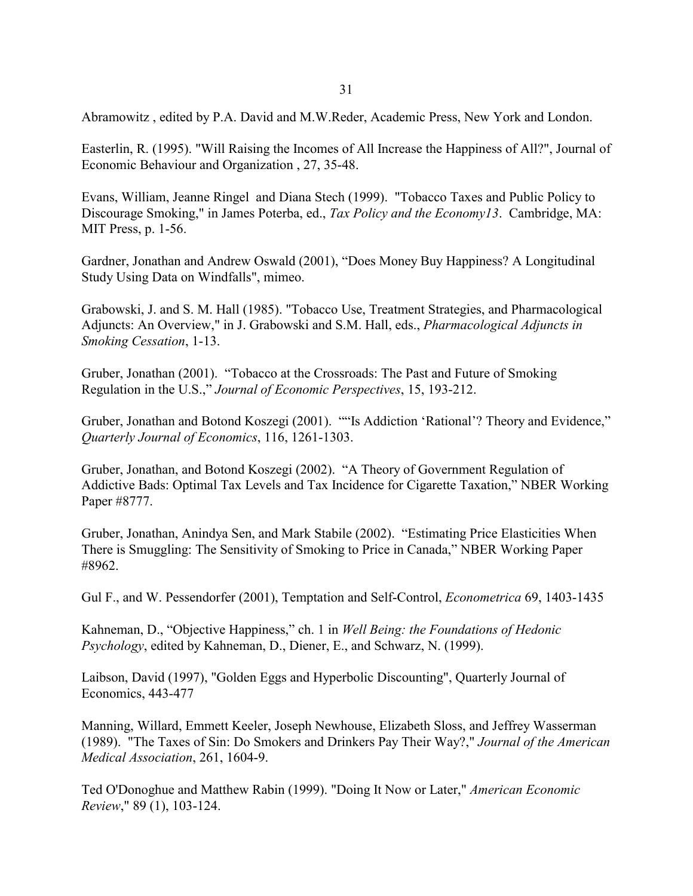Abramowitz , edited by P.A. David and M.W.Reder, Academic Press, New York and London.

Easterlin, R. (1995). "Will Raising the Incomes of All Increase the Happiness of All?", Journal of Economic Behaviour and Organization , 27, 35-48.

Evans, William, Jeanne Ringel and Diana Stech (1999). "Tobacco Taxes and Public Policy to Discourage Smoking," in James Poterba, ed., *Tax Policy and the Economy13*. Cambridge, MA: MIT Press, p. 1-56.

Gardner, Jonathan and Andrew Oswald (2001), "Does Money Buy Happiness? A Longitudinal Study Using Data on Windfalls", mimeo.

Grabowski, J. and S. M. Hall (1985). "Tobacco Use, Treatment Strategies, and Pharmacological Adjuncts: An Overview," in J. Grabowski and S.M. Hall, eds., *Pharmacological Adjuncts in Smoking Cessation*, 1-13.

Gruber, Jonathan (2001). "Tobacco at the Crossroads: The Past and Future of Smoking Regulation in the U.S.," *Journal of Economic Perspectives*, 15, 193-212.

Gruber, Jonathan and Botond Koszegi (2001). ""Is Addiction 'Rational'? Theory and Evidence," *Quarterly Journal of Economics*, 116, 1261-1303.

Gruber, Jonathan, and Botond Koszegi (2002). "A Theory of Government Regulation of Addictive Bads: Optimal Tax Levels and Tax Incidence for Cigarette Taxation," NBER Working Paper #8777.

Gruber, Jonathan, Anindya Sen, and Mark Stabile (2002). "Estimating Price Elasticities When There is Smuggling: The Sensitivity of Smoking to Price in Canada," NBER Working Paper #8962.

Gul F., and W. Pessendorfer (2001), Temptation and Self-Control, *Econometrica* 69, 1403-1435

Kahneman, D., "Objective Happiness," ch. 1 in *Well Being: the Foundations of Hedonic Psychology*, edited by Kahneman, D., Diener, E., and Schwarz, N. (1999).

Laibson, David (1997), "Golden Eggs and Hyperbolic Discounting", Quarterly Journal of Economics, 443-477

Manning, Willard, Emmett Keeler, Joseph Newhouse, Elizabeth Sloss, and Jeffrey Wasserman (1989). "The Taxes of Sin: Do Smokers and Drinkers Pay Their Way?," *Journal of the American Medical Association*, 261, 1604-9.

Ted O'Donoghue and Matthew Rabin (1999). "Doing It Now or Later," *American Economic Review*," 89 (1), 103-124.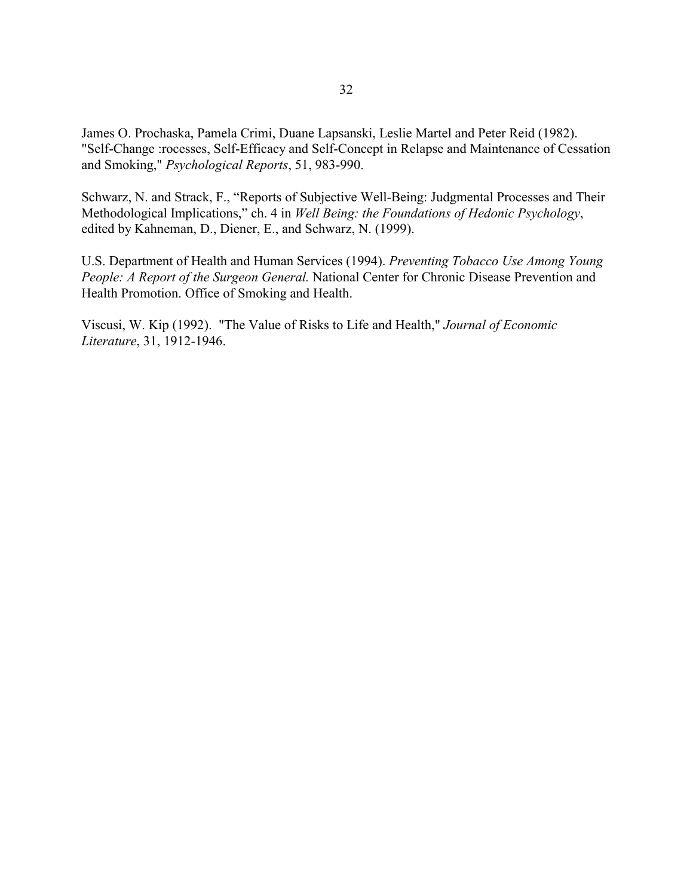James O. Prochaska, Pamela Crimi, Duane Lapsanski, Leslie Martel and Peter Reid (1982). "Self-Change :rocesses, Self-Efficacy and Self-Concept in Relapse and Maintenance of Cessation and Smoking," *Psychological Reports*, 51, 983-990.

Schwarz, N. and Strack, F., "Reports of Subjective Well-Being: Judgmental Processes and Their Methodological Implications," ch. 4 in *Well Being: the Foundations of Hedonic Psychology*, edited by Kahneman, D., Diener, E., and Schwarz, N. (1999).

U.S. Department of Health and Human Services (1994). *Preventing Tobacco Use Among Young People: A Report of the Surgeon General.* National Center for Chronic Disease Prevention and Health Promotion. Office of Smoking and Health.

Viscusi, W. Kip (1992). "The Value of Risks to Life and Health," *Journal of Economic Literature*, 31, 1912-1946.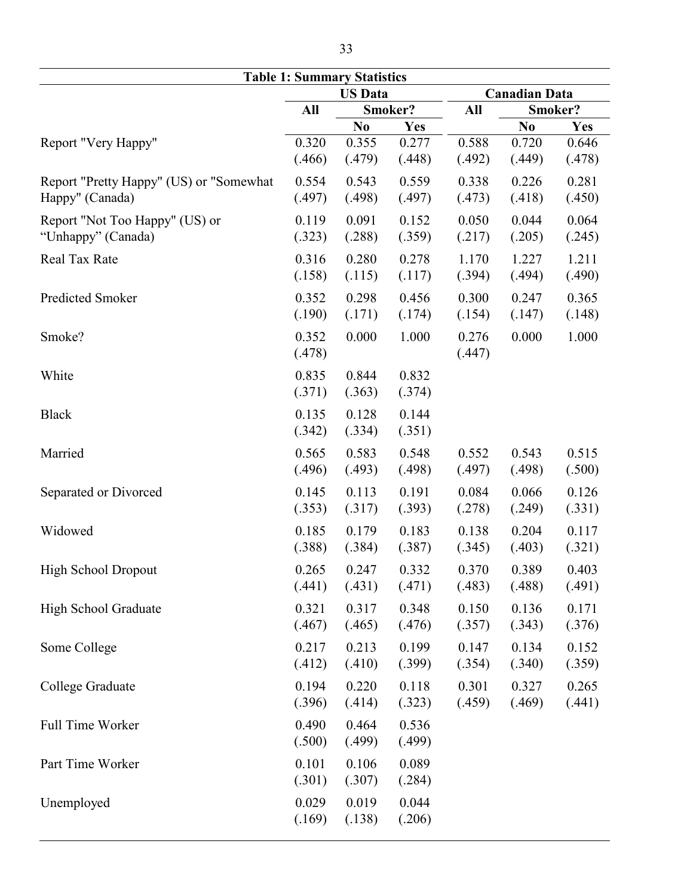|                                          |                 | <b>Table 1: Summary Statistics</b> |                 |                 |                      |            |
|------------------------------------------|-----------------|------------------------------------|-----------------|-----------------|----------------------|------------|
|                                          |                 | <b>US Data</b>                     |                 |                 | <b>Canadian Data</b> |            |
|                                          | All             |                                    | Smoker?         | All             |                      | Smoker?    |
|                                          |                 | N <sub>0</sub>                     | Yes             |                 | $\bf No$             | <b>Yes</b> |
| Report "Very Happy"                      | 0.320           | 0.355                              | 0.277           | 0.588           | 0.720                | 0.646      |
|                                          | (.466)          | (.479)                             | (.448)          | (.492)          | (.449)               | (.478)     |
| Report "Pretty Happy" (US) or "Somewhat" | 0.554           | 0.543                              | 0.559           | 0.338           | 0.226                | 0.281      |
| Happy" (Canada)                          | (.497)          | (.498)                             | (.497)          | (.473)          | (.418)               | (.450)     |
| Report "Not Too Happy" (US) or           | 0.119           | 0.091                              | 0.152           | 0.050           | 0.044                | 0.064      |
| "Unhappy" (Canada)                       | (.323)          | (.288)                             | (.359)          | (.217)          | (.205)               | (.245)     |
| Real Tax Rate                            | 0.316           | 0.280                              | 0.278           | 1.170           | 1.227                | 1.211      |
|                                          | (.158)          | (.115)                             | (.117)          | (.394)          | (.494)               | (.490)     |
| Predicted Smoker                         | 0.352           | 0.298                              | 0.456           | 0.300           | 0.247                | 0.365      |
|                                          | (.190)          | (.171)                             | (.174)          | (.154)          | (.147)               | (.148)     |
| Smoke?                                   | 0.352<br>(.478) | 0.000                              | 1.000           | 0.276<br>(.447) | 0.000                | 1.000      |
| White                                    | 0.835<br>(.371) | 0.844<br>(.363)                    | 0.832<br>(.374) |                 |                      |            |
| <b>Black</b>                             | 0.135<br>(.342) | 0.128<br>(.334)                    | 0.144<br>(.351) |                 |                      |            |
| Married                                  | 0.565           | 0.583                              | 0.548           | 0.552           | 0.543                | 0.515      |
|                                          | (.496)          | (.493)                             | (.498)          | (.497)          | (.498)               | (.500)     |
| Separated or Divorced                    | 0.145           | 0.113                              | 0.191           | 0.084           | 0.066                | 0.126      |
|                                          | (.353)          | (.317)                             | (.393)          | (.278)          | (.249)               | (.331)     |
| Widowed                                  | 0.185           | 0.179                              | 0.183           | 0.138           | 0.204                | 0.117      |
|                                          | (.388)          | (.384)                             | (.387)          | (.345)          | (.403)               | (.321)     |
| <b>High School Dropout</b>               | 0.265           | 0.247                              | 0.332           | 0.370           | 0.389                | 0.403      |
|                                          | (.441)          | (.431)                             | (.471)          | (.483)          | (.488)               | (.491)     |
| High School Graduate                     | 0.321           | 0.317                              | 0.348           | 0.150           | 0.136                | 0.171      |
|                                          | (.467)          | (.465)                             | (.476)          | (.357)          | (.343)               | (.376)     |
| Some College                             | 0.217           | 0.213                              | 0.199           | 0.147           | 0.134                | 0.152      |
|                                          | (.412)          | (.410)                             | (.399)          | (.354)          | (.340)               | (.359)     |
| College Graduate                         | 0.194           | 0.220                              | 0.118           | 0.301           | 0.327                | 0.265      |
|                                          | (.396)          | (.414)                             | (.323)          | (.459)          | (.469)               | (.441)     |
| Full Time Worker                         | 0.490<br>(.500) | 0.464<br>(.499)                    | 0.536<br>(.499) |                 |                      |            |
| Part Time Worker                         | 0.101<br>(.301) | 0.106<br>(.307)                    | 0.089<br>(.284) |                 |                      |            |
| Unemployed                               | 0.029<br>(.169) | 0.019<br>(.138)                    | 0.044<br>(.206) |                 |                      |            |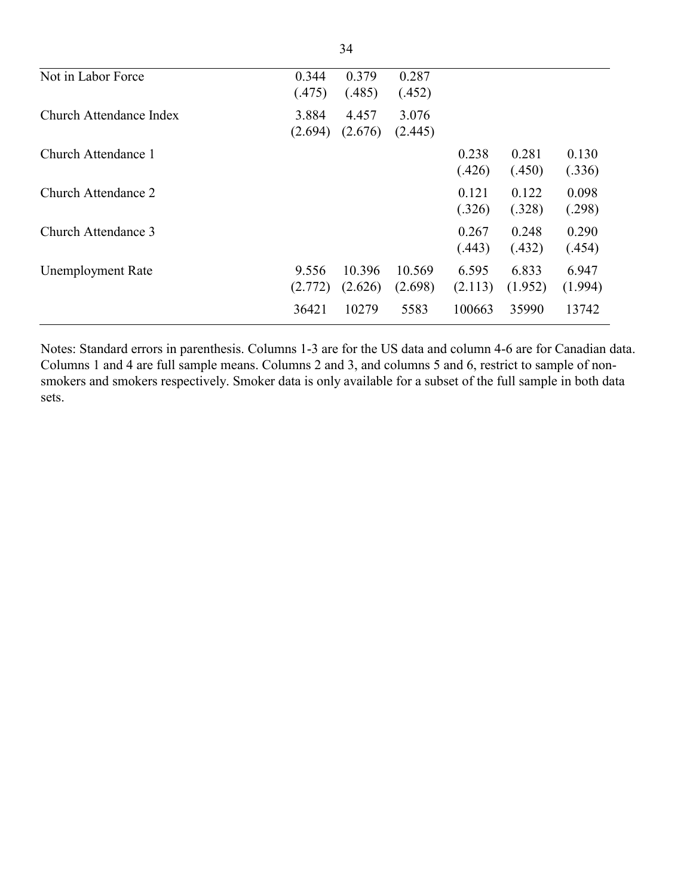| Not in Labor Force       | 0.344<br>(.475)  | 0.379<br>(.485)   | 0.287<br>(.452)   |                  |                  |                  |
|--------------------------|------------------|-------------------|-------------------|------------------|------------------|------------------|
| Church Attendance Index  | 3.884<br>(2.694) | 4.457<br>(2.676)  | 3.076<br>(2.445)  |                  |                  |                  |
| Church Attendance 1      |                  |                   |                   | 0.238<br>(.426)  | 0.281<br>(.450)  | 0.130<br>(.336)  |
| Church Attendance 2      |                  |                   |                   | 0.121<br>(.326)  | 0.122<br>(.328)  | 0.098<br>(.298)  |
| Church Attendance 3      |                  |                   |                   | 0.267<br>(.443)  | 0.248<br>(.432)  | 0.290<br>(.454)  |
| <b>Unemployment Rate</b> | 9.556<br>(2.772) | 10.396<br>(2.626) | 10.569<br>(2.698) | 6.595<br>(2.113) | 6.833<br>(1.952) | 6.947<br>(1.994) |
|                          | 36421            | 10279             | 5583              | 100663           | 35990            | 13742            |

34

Notes: Standard errors in parenthesis. Columns 1-3 are for the US data and column 4-6 are for Canadian data. Columns 1 and 4 are full sample means. Columns 2 and 3, and columns 5 and 6, restrict to sample of nonsmokers and smokers respectively. Smoker data is only available for a subset of the full sample in both data sets.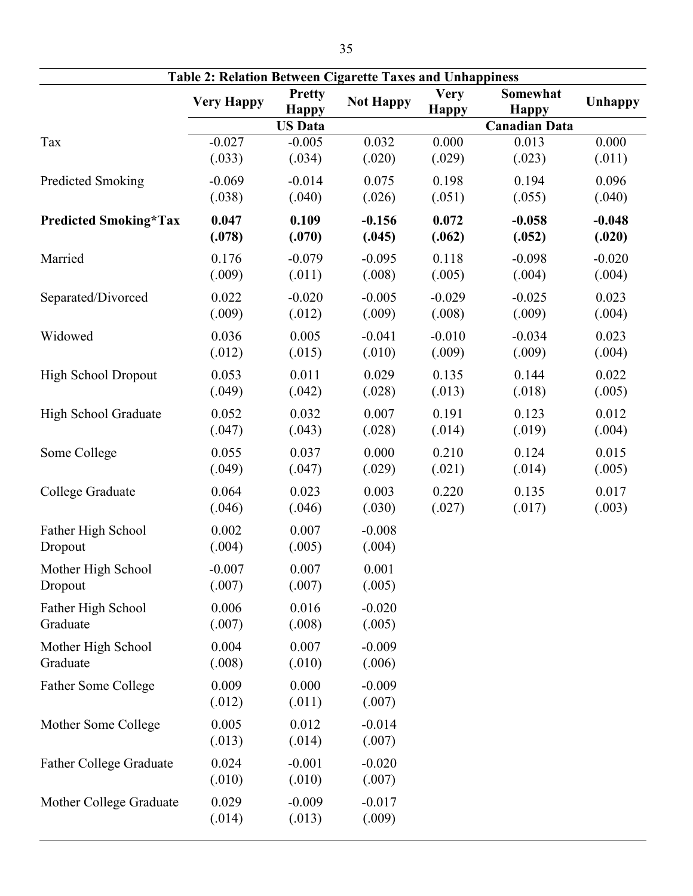|                                | <b>Table 2: Relation Between Cigarette Taxes and Unhappiness</b> |                        |                  |                             |                          |          |
|--------------------------------|------------------------------------------------------------------|------------------------|------------------|-----------------------------|--------------------------|----------|
|                                | <b>Very Happy</b>                                                | <b>Pretty</b><br>Happy | <b>Not Happy</b> | <b>Very</b><br><b>Happy</b> | Somewhat<br><b>Happy</b> | Unhappy  |
|                                |                                                                  | <b>US Data</b>         |                  |                             | <b>Canadian Data</b>     |          |
| Tax                            | $-0.027$                                                         | $-0.005$               | 0.032            | 0.000                       | 0.013                    | 0.000    |
|                                | (.033)                                                           | (.034)                 | (.020)           | (.029)                      | (.023)                   | (.011)   |
| <b>Predicted Smoking</b>       | $-0.069$                                                         | $-0.014$               | 0.075            | 0.198                       | 0.194                    | 0.096    |
|                                | (.038)                                                           | (.040)                 | (.026)           | (.051)                      | (.055)                   | (.040)   |
| <b>Predicted Smoking*Tax</b>   | 0.047                                                            | 0.109                  | $-0.156$         | 0.072                       | $-0.058$                 | $-0.048$ |
|                                | (.078)                                                           | (.070)                 | (.045)           | (.062)                      | (.052)                   | (.020)   |
| Married                        | 0.176                                                            | $-0.079$               | $-0.095$         | 0.118                       | $-0.098$                 | $-0.020$ |
|                                | (.009)                                                           | (.011)                 | (.008)           | (.005)                      | (.004)                   | (.004)   |
|                                |                                                                  |                        |                  |                             |                          |          |
| Separated/Divorced             | 0.022                                                            | $-0.020$               | $-0.005$         | $-0.029$                    | $-0.025$                 | 0.023    |
|                                | (.009)                                                           | (.012)                 | (.009)           | (.008)                      | (.009)                   | (.004)   |
| Widowed                        | 0.036                                                            | 0.005                  | $-0.041$         | $-0.010$                    | $-0.034$                 | 0.023    |
|                                | (.012)                                                           | (.015)                 | (.010)           | (.009)                      | (.009)                   | (.004)   |
| <b>High School Dropout</b>     | 0.053                                                            | 0.011                  | 0.029            | 0.135                       | 0.144                    | 0.022    |
|                                | (.049)                                                           | (.042)                 | (.028)           | (.013)                      | (.018)                   | (.005)   |
| High School Graduate           | 0.052                                                            | 0.032                  | 0.007            | 0.191                       | 0.123                    | 0.012    |
|                                | (.047)                                                           | (.043)                 | (.028)           | (.014)                      | (.019)                   | (.004)   |
|                                |                                                                  |                        |                  |                             |                          |          |
| Some College                   | 0.055                                                            | 0.037                  | 0.000            | 0.210                       | 0.124                    | 0.015    |
|                                | (.049)                                                           | (.047)                 | (.029)           | (.021)                      | (.014)                   | (.005)   |
| College Graduate               | 0.064                                                            | 0.023                  | 0.003            | 0.220                       | 0.135                    | 0.017    |
|                                | (.046)                                                           | (.046)                 | (.030)           | (.027)                      | (.017)                   | (.003)   |
| Father High School             | 0.002                                                            | 0.007                  | $-0.008$         |                             |                          |          |
| Dropout                        | (.004)                                                           | (.005)                 | (.004)           |                             |                          |          |
| Mother High School             | $-0.007$                                                         | 0.007                  | 0.001            |                             |                          |          |
| Dropout                        | (.007)                                                           | (.007)                 | (.005)           |                             |                          |          |
| Father High School             | 0.006                                                            | 0.016                  | $-0.020$         |                             |                          |          |
| Graduate                       | (.007)                                                           | (.008)                 | (.005)           |                             |                          |          |
|                                |                                                                  |                        |                  |                             |                          |          |
| Mother High School<br>Graduate | 0.004                                                            | 0.007                  | $-0.009$         |                             |                          |          |
|                                | (.008)                                                           | (.010)                 | (.006)           |                             |                          |          |
| <b>Father Some College</b>     | 0.009                                                            | 0.000                  | $-0.009$         |                             |                          |          |
|                                | (.012)                                                           | (.011)                 | (.007)           |                             |                          |          |
| Mother Some College            | 0.005                                                            | 0.012                  | $-0.014$         |                             |                          |          |
|                                | (.013)                                                           | (.014)                 | (.007)           |                             |                          |          |
| <b>Father College Graduate</b> | 0.024                                                            | $-0.001$               | $-0.020$         |                             |                          |          |
|                                | (.010)                                                           | (.010)                 | (.007)           |                             |                          |          |
| Mother College Graduate        | 0.029                                                            | $-0.009$               | $-0.017$         |                             |                          |          |
|                                | (.014)                                                           | (.013)                 | (.009)           |                             |                          |          |
|                                |                                                                  |                        |                  |                             |                          |          |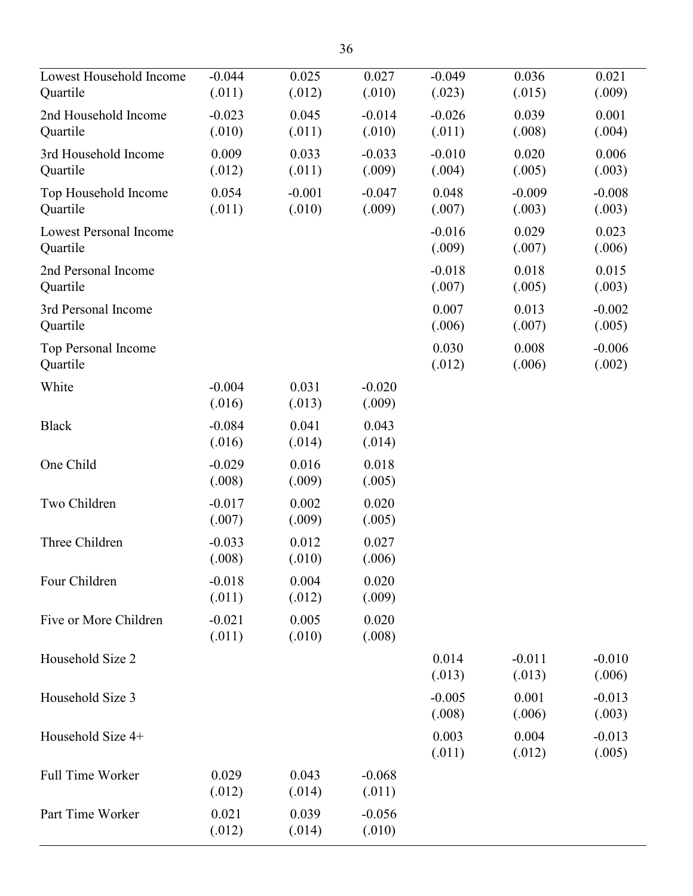| Lowest Household Income<br>Quartile       | $-0.044$<br>(.011) | 0.025<br>(.012)    | 0.027<br>(.010)    | $-0.049$<br>(.023) | 0.036<br>(.015)    | 0.021<br>(.009)    |
|-------------------------------------------|--------------------|--------------------|--------------------|--------------------|--------------------|--------------------|
| 2nd Household Income<br>Quartile          | $-0.023$<br>(.010) | 0.045<br>(.011)    | $-0.014$<br>(.010) | $-0.026$<br>(.011) | 0.039<br>(.008)    | 0.001<br>(.004)    |
| 3rd Household Income<br>Quartile          | 0.009<br>(.012)    | 0.033<br>(.011)    | $-0.033$<br>(.009) | $-0.010$<br>(.004) | 0.020<br>(.005)    | 0.006<br>(.003)    |
| Top Household Income<br>Quartile          | 0.054<br>(.011)    | $-0.001$<br>(.010) | $-0.047$<br>(.009) | 0.048<br>(.007)    | $-0.009$<br>(.003) | $-0.008$<br>(.003) |
| <b>Lowest Personal Income</b><br>Quartile |                    |                    |                    | $-0.016$<br>(.009) | 0.029<br>(.007)    | 0.023<br>(.006)    |
| 2nd Personal Income<br>Quartile           |                    |                    |                    | $-0.018$<br>(.007) | 0.018<br>(.005)    | 0.015<br>(.003)    |
| 3rd Personal Income<br>Quartile           |                    |                    |                    | 0.007<br>(.006)    | 0.013<br>(.007)    | $-0.002$<br>(.005) |
| Top Personal Income<br>Quartile           |                    |                    |                    | 0.030<br>(.012)    | 0.008<br>(.006)    | $-0.006$<br>(.002) |
| White                                     | $-0.004$<br>(.016) | 0.031<br>(.013)    | $-0.020$<br>(.009) |                    |                    |                    |
| <b>Black</b>                              | $-0.084$<br>(.016) | 0.041<br>(.014)    | 0.043<br>(.014)    |                    |                    |                    |
| One Child                                 | $-0.029$<br>(.008) | 0.016<br>(.009)    | 0.018<br>(.005)    |                    |                    |                    |
| Two Children                              | $-0.017$<br>(.007) | 0.002<br>(.009)    | 0.020<br>(.005)    |                    |                    |                    |
| Three Children                            | $-0.033$<br>(.008) | 0.012<br>(.010)    | 0.027<br>(.006)    |                    |                    |                    |
| Four Children                             | $-0.018$<br>(.011) | 0.004<br>(.012)    | 0.020<br>(.009)    |                    |                    |                    |
| Five or More Children                     | $-0.021$<br>(.011) | 0.005<br>(.010)    | 0.020<br>(.008)    |                    |                    |                    |
| Household Size 2                          |                    |                    |                    | 0.014<br>(.013)    | $-0.011$<br>(.013) | $-0.010$<br>(.006) |
| Household Size 3                          |                    |                    |                    | $-0.005$<br>(.008) | 0.001<br>(.006)    | $-0.013$<br>(.003) |
| Household Size 4+                         |                    |                    |                    | 0.003<br>(.011)    | 0.004<br>(.012)    | $-0.013$<br>(.005) |
| <b>Full Time Worker</b>                   | 0.029<br>(.012)    | 0.043<br>(.014)    | $-0.068$<br>(.011) |                    |                    |                    |
| Part Time Worker                          | 0.021<br>(.012)    | 0.039<br>(.014)    | $-0.056$<br>(.010) |                    |                    |                    |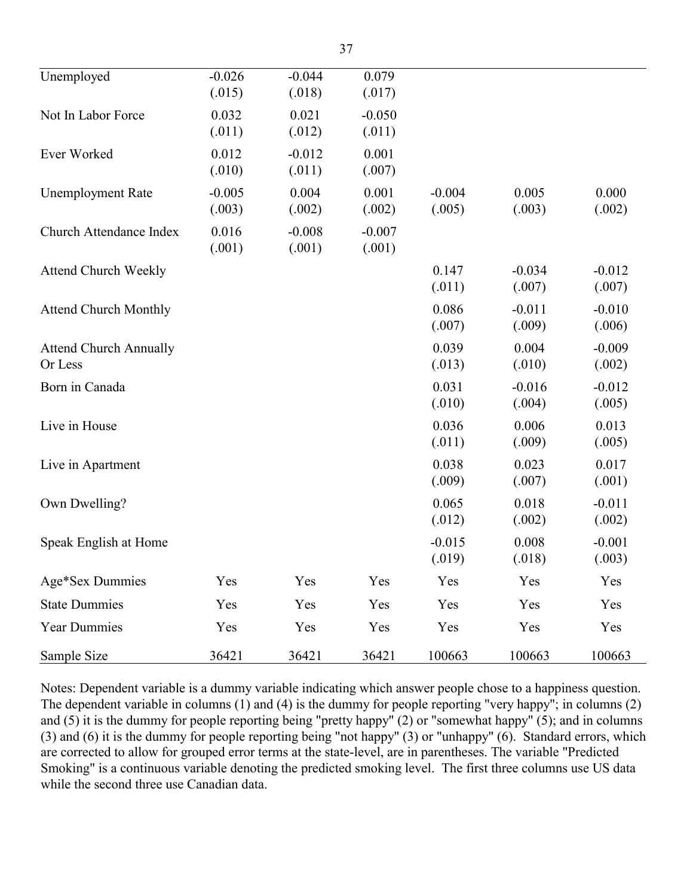| Unemployed                               | $-0.026$<br>(.015) | $-0.044$<br>(.018) | 0.079<br>(.017)    |                    |                    |                    |
|------------------------------------------|--------------------|--------------------|--------------------|--------------------|--------------------|--------------------|
| Not In Labor Force                       | 0.032<br>(.011)    | 0.021<br>(.012)    | $-0.050$<br>(.011) |                    |                    |                    |
| Ever Worked                              | 0.012<br>(.010)    | $-0.012$<br>(.011) | 0.001<br>(.007)    |                    |                    |                    |
| <b>Unemployment Rate</b>                 | $-0.005$<br>(.003) | 0.004<br>(.002)    | 0.001<br>(.002)    | $-0.004$<br>(.005) | 0.005<br>(.003)    | 0.000<br>(.002)    |
| Church Attendance Index                  | 0.016<br>(.001)    | $-0.008$<br>(.001) | $-0.007$<br>(.001) |                    |                    |                    |
| <b>Attend Church Weekly</b>              |                    |                    |                    | 0.147<br>(.011)    | $-0.034$<br>(.007) | $-0.012$<br>(.007) |
| <b>Attend Church Monthly</b>             |                    |                    |                    | 0.086<br>(.007)    | $-0.011$<br>(.009) | $-0.010$<br>(.006) |
| <b>Attend Church Annually</b><br>Or Less |                    |                    |                    | 0.039<br>(.013)    | 0.004<br>(.010)    | $-0.009$<br>(.002) |
| Born in Canada                           |                    |                    |                    | 0.031<br>(.010)    | $-0.016$<br>(.004) | $-0.012$<br>(.005) |
| Live in House                            |                    |                    |                    | 0.036<br>(.011)    | 0.006<br>(.009)    | 0.013<br>(.005)    |
| Live in Apartment                        |                    |                    |                    | 0.038<br>(.009)    | 0.023<br>(.007)    | 0.017<br>(.001)    |
| Own Dwelling?                            |                    |                    |                    | 0.065<br>(.012)    | 0.018<br>(.002)    | $-0.011$<br>(.002) |
| Speak English at Home                    |                    |                    |                    | $-0.015$<br>(.019) | 0.008<br>(.018)    | $-0.001$<br>(.003) |
| Age*Sex Dummies                          | Yes                | Yes                | Yes                | Yes                | Yes                | Yes                |
| <b>State Dummies</b>                     | Yes                | Yes                | Yes                | Yes                | Yes                | Yes                |
| <b>Year Dummies</b>                      | Yes                | Yes                | Yes                | Yes                | Yes                | Yes                |
| Sample Size                              | 36421              | 36421              | 36421              | 100663             | 100663             | 100663             |

Notes: Dependent variable is a dummy variable indicating which answer people chose to a happiness question. The dependent variable in columns (1) and (4) is the dummy for people reporting "very happy"; in columns (2) and (5) it is the dummy for people reporting being "pretty happy" (2) or "somewhat happy" (5); and in columns (3) and (6) it is the dummy for people reporting being "not happy" (3) or "unhappy" (6). Standard errors, which are corrected to allow for grouped error terms at the state-level, are in parentheses. The variable "Predicted Smoking" is a continuous variable denoting the predicted smoking level. The first three columns use US data while the second three use Canadian data.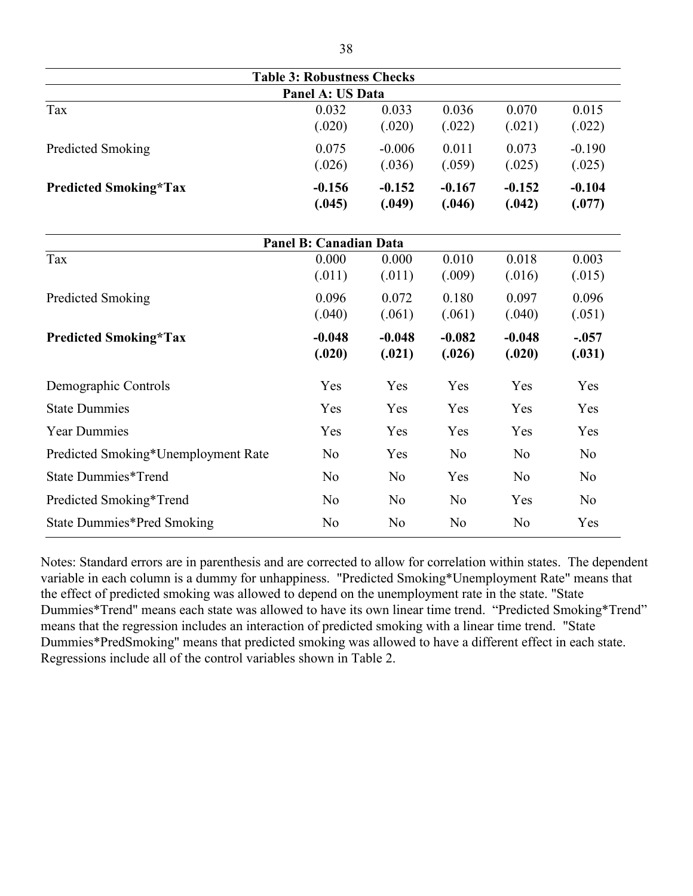| Panel A: US Data |                                                          |                                                                                                                                |                                                          |                                                          |  |  |  |  |  |
|------------------|----------------------------------------------------------|--------------------------------------------------------------------------------------------------------------------------------|----------------------------------------------------------|----------------------------------------------------------|--|--|--|--|--|
| 0.032            | 0.033                                                    | 0.036                                                                                                                          | 0.070                                                    | 0.015                                                    |  |  |  |  |  |
|                  |                                                          |                                                                                                                                |                                                          | (.022)                                                   |  |  |  |  |  |
| 0.075            | $-0.006$                                                 | 0.011                                                                                                                          | 0.073                                                    | $-0.190$                                                 |  |  |  |  |  |
|                  |                                                          |                                                                                                                                |                                                          | (.025)                                                   |  |  |  |  |  |
| $-0.156$         | $-0.152$                                                 | $-0.167$                                                                                                                       | $-0.152$                                                 | $-0.104$                                                 |  |  |  |  |  |
|                  |                                                          |                                                                                                                                |                                                          | (.077)                                                   |  |  |  |  |  |
|                  |                                                          |                                                                                                                                |                                                          |                                                          |  |  |  |  |  |
| 0.000            | 0.000                                                    | 0.010                                                                                                                          | 0.018                                                    | 0.003                                                    |  |  |  |  |  |
|                  |                                                          |                                                                                                                                |                                                          | (.015)                                                   |  |  |  |  |  |
| 0.096            | 0.072                                                    | 0.180                                                                                                                          | 0.097                                                    | 0.096                                                    |  |  |  |  |  |
|                  |                                                          |                                                                                                                                |                                                          | (.051)                                                   |  |  |  |  |  |
| $-0.048$         | $-0.048$                                                 | $-0.082$                                                                                                                       | $-0.048$                                                 | $-.057$                                                  |  |  |  |  |  |
|                  |                                                          |                                                                                                                                |                                                          | (.031)                                                   |  |  |  |  |  |
| Yes              | Yes                                                      | Yes                                                                                                                            | Yes                                                      | Yes                                                      |  |  |  |  |  |
| Yes              | Yes                                                      | Yes                                                                                                                            | Yes                                                      | Yes                                                      |  |  |  |  |  |
| Yes              | Yes                                                      | Yes                                                                                                                            | Yes                                                      | Yes                                                      |  |  |  |  |  |
| N <sub>0</sub>   | Yes                                                      | N <sub>0</sub>                                                                                                                 | N <sub>o</sub>                                           | N <sub>o</sub>                                           |  |  |  |  |  |
| N <sub>o</sub>   | N <sub>o</sub>                                           | Yes                                                                                                                            | N <sub>o</sub>                                           | N <sub>0</sub>                                           |  |  |  |  |  |
| N <sub>o</sub>   | N <sub>o</sub>                                           | N <sub>0</sub>                                                                                                                 | Yes                                                      | N <sub>0</sub>                                           |  |  |  |  |  |
| N <sub>o</sub>   | N <sub>o</sub>                                           | N <sub>0</sub>                                                                                                                 | N <sub>o</sub>                                           | Yes                                                      |  |  |  |  |  |
|                  | (.020)<br>(.026)<br>(.045)<br>(.011)<br>(.040)<br>(.020) | <b>Table 3: Robustness Checks</b><br>(.020)<br>(.036)<br>(.049)<br><b>Panel B: Canadian Data</b><br>(.011)<br>(.061)<br>(.021) | (.022)<br>(.059)<br>(.046)<br>(.009)<br>(.061)<br>(.026) | (.021)<br>(.025)<br>(.042)<br>(.016)<br>(.040)<br>(.020) |  |  |  |  |  |

Notes: Standard errors are in parenthesis and are corrected to allow for correlation within states. The dependent variable in each column is a dummy for unhappiness. "Predicted Smoking\*Unemployment Rate" means that the effect of predicted smoking was allowed to depend on the unemployment rate in the state. "State Dummies\*Trend" means each state was allowed to have its own linear time trend. "Predicted Smoking\*Trend" means that the regression includes an interaction of predicted smoking with a linear time trend. "State Dummies\*PredSmoking" means that predicted smoking was allowed to have a different effect in each state. Regressions include all of the control variables shown in Table 2.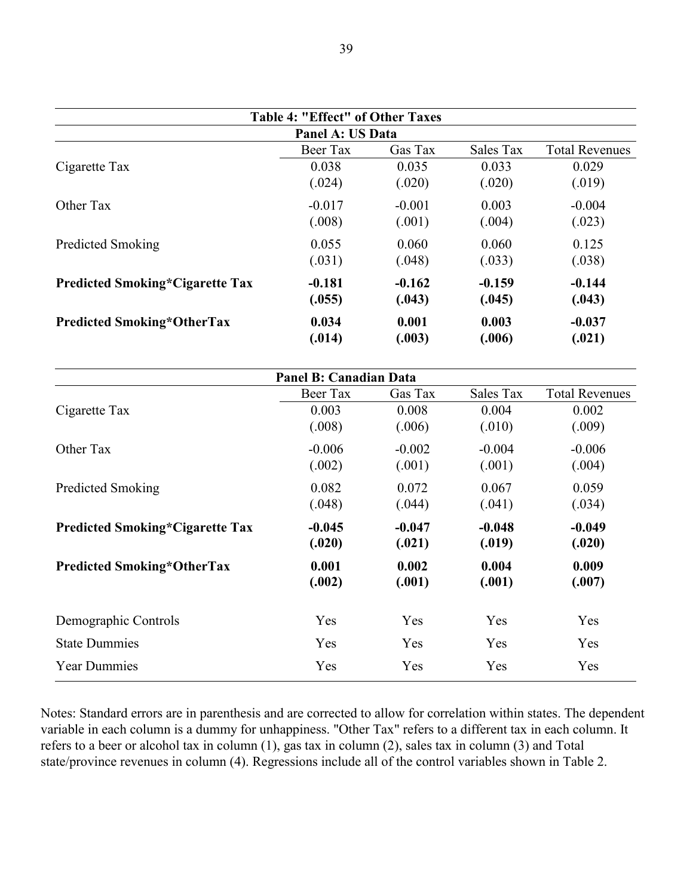| <b>Table 4: "Effect" of Other Taxes</b> |          |          |           |                       |  |  |  |  |  |
|-----------------------------------------|----------|----------|-----------|-----------------------|--|--|--|--|--|
| Panel A: US Data                        |          |          |           |                       |  |  |  |  |  |
|                                         | Beer Tax | Gas Tax  | Sales Tax | <b>Total Revenues</b> |  |  |  |  |  |
| Cigarette Tax                           | 0.038    | 0.035    | 0.033     | 0.029                 |  |  |  |  |  |
|                                         | (.024)   | (.020)   | (.020)    | (.019)                |  |  |  |  |  |
| Other Tax                               | $-0.017$ | $-0.001$ | 0.003     | $-0.004$              |  |  |  |  |  |
|                                         | (.008)   | (.001)   | (.004)    | (.023)                |  |  |  |  |  |
| <b>Predicted Smoking</b>                | 0.055    | 0.060    | 0.060     | 0.125                 |  |  |  |  |  |
|                                         | (.031)   | (.048)   | (.033)    | (.038)                |  |  |  |  |  |
| <b>Predicted Smoking*Cigarette Tax</b>  | $-0.181$ | $-0.162$ | $-0.159$  | $-0.144$              |  |  |  |  |  |
|                                         | (.055)   | (.043)   | (.045)    | (.043)                |  |  |  |  |  |
| <b>Predicted Smoking*OtherTax</b>       | 0.034    | 0.001    | 0.003     | $-0.037$              |  |  |  |  |  |
|                                         | (.014)   | (.003)   | (.006)    | (.021)                |  |  |  |  |  |

|                                        | <b>Panel B: Canadian Data</b> |          |           |                       |
|----------------------------------------|-------------------------------|----------|-----------|-----------------------|
|                                        | Beer Tax                      | Gas Tax  | Sales Tax | <b>Total Revenues</b> |
| Cigarette Tax                          | 0.003                         | 0.008    | 0.004     | 0.002                 |
|                                        | (.008)                        | (.006)   | (.010)    | (.009)                |
| Other Tax                              | $-0.006$                      | $-0.002$ | $-0.004$  | $-0.006$              |
|                                        | (.002)                        | (.001)   | (.001)    | (.004)                |
| <b>Predicted Smoking</b>               | 0.082                         | 0.072    | 0.067     | 0.059                 |
|                                        | (.048)                        | (.044)   | (.041)    | (.034)                |
| <b>Predicted Smoking*Cigarette Tax</b> | $-0.045$                      | $-0.047$ | $-0.048$  | $-0.049$              |
|                                        | (.020)                        | (.021)   | (.019)    | (.020)                |
| <b>Predicted Smoking*OtherTax</b>      | 0.001                         | 0.002    | 0.004     | 0.009                 |
|                                        | (.002)                        | (.001)   | (.001)    | (.007)                |
| Demographic Controls                   | Yes                           | Yes      | Yes       | Yes                   |
| <b>State Dummies</b>                   | Yes                           | Yes      | Yes       | Yes                   |
| <b>Year Dummies</b>                    | Yes                           | Yes      | Yes       | Yes                   |

Notes: Standard errors are in parenthesis and are corrected to allow for correlation within states. The dependent variable in each column is a dummy for unhappiness. "Other Tax" refers to a different tax in each column. It refers to a beer or alcohol tax in column (1), gas tax in column (2), sales tax in column (3) and Total state/province revenues in column (4). Regressions include all of the control variables shown in Table 2.